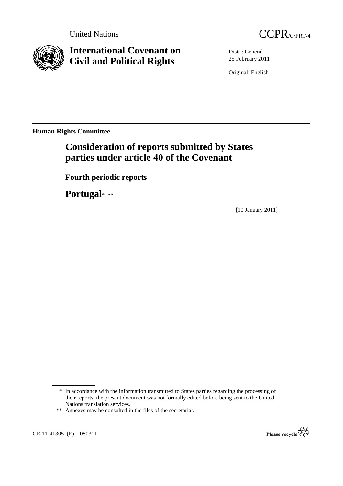



# **International Covenant on Civil and Political Rights**

Distr.: General 25 February 2011

Original: English

**Human Rights Committee** 

# **Consideration of reports submitted by States parties under article 40 of the Covenant**

 **Fourth periodic reports** 

 **Portugal**\*, \*\*

[10 January 2011]

GE.11-41305 (E) 080311



<sup>\*</sup> In accordance with the information transmitted to States parties regarding the processing of their reports, the present document was not formally edited before being sent to the United Nations translation services.

<sup>\*\*</sup> Annexes may be consulted in the files of the secretariat.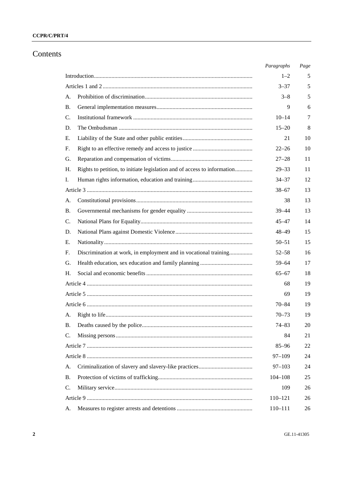# CCPR/C/PRT/4

# Contents

|           |                                                                          | Paragraphs  | Page |
|-----------|--------------------------------------------------------------------------|-------------|------|
|           |                                                                          | $1 - 2$     | 5    |
|           |                                                                          | $3 - 37$    | 5    |
| А.        |                                                                          | $3 - 8$     | 5    |
| B.        |                                                                          | 9           | 6    |
| C.        |                                                                          | $10 - 14$   | 7    |
| D.        |                                                                          | $15 - 20$   | 8    |
| Е.        |                                                                          | 21          | 10   |
| F.        |                                                                          | $22 - 26$   | 10   |
| G.        |                                                                          | $27 - 28$   | 11   |
| Н.        | Rights to petition, to initiate legislation and of access to information | $29 - 33$   | 11   |
| Ι.        |                                                                          | $34 - 37$   | 12   |
|           |                                                                          | $38 - 67$   | 13   |
| А.        |                                                                          | 38          | 13   |
| B.        |                                                                          | $39 - 44$   | 13   |
| C.        |                                                                          | $45 - 47$   | 14   |
| D.        |                                                                          | $48 - 49$   | 15   |
| Е.        |                                                                          | $50 - 51$   | 15   |
| F.        | Discrimination at work, in employment and in vocational training         | $52 - 58$   | 16   |
| G.        |                                                                          | $59 - 64$   | 17   |
| Н.        |                                                                          | $65 - 67$   | 18   |
|           |                                                                          | 68          | 19   |
|           |                                                                          | 69          | 19   |
|           |                                                                          | 70–84       | 19   |
| A.        |                                                                          | $70 - 73$   | 19   |
| <b>B.</b> |                                                                          | 74–83       | 20   |
| C.        |                                                                          | 84          | 21   |
|           |                                                                          | $85 - 96$   | 22   |
|           |                                                                          | 97–109      | 24   |
| А.        |                                                                          | $97 - 103$  | 24   |
| <b>B.</b> |                                                                          | $104 - 108$ | 25   |
| C.        |                                                                          | 109         | 26   |
|           |                                                                          | $110 - 121$ | 26   |
| A.        |                                                                          | 110-111     | 26   |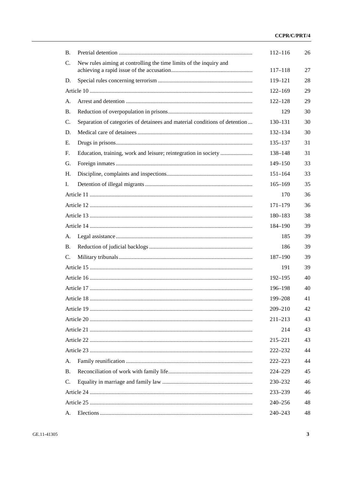### CCPR/C/PRT/4

| <b>B.</b>       |                                                                            | $112 - 116$ | 26 |
|-----------------|----------------------------------------------------------------------------|-------------|----|
| $\mathcal{C}$ . | New rules aiming at controlling the time limits of the inquiry and         | $117 - 118$ | 27 |
| D.              |                                                                            | 119–121     | 28 |
|                 |                                                                            | $122 - 169$ | 29 |
| A.              |                                                                            | $122 - 128$ | 29 |
| <b>B.</b>       |                                                                            | 129         | 30 |
| C.              | Separation of categories of detainees and material conditions of detention | 130–131     | 30 |
| D.              |                                                                            | $132 - 134$ | 30 |
| Е.              |                                                                            | $135 - 137$ | 31 |
| F <sub>1</sub>  | Education, training, work and leisure; reintegration in society            | 138-148     | 31 |
| G.              |                                                                            | $149 - 150$ | 33 |
| H.              |                                                                            | $151 - 164$ | 33 |
| Ι.              |                                                                            | $165 - 169$ | 35 |
|                 |                                                                            | 170         | 36 |
|                 |                                                                            | $171 - 179$ | 36 |
|                 |                                                                            | 180–183     | 38 |
|                 |                                                                            | 184–190     | 39 |
| А.              |                                                                            | 185         | 39 |
| <b>B.</b>       |                                                                            | 186         | 39 |
| C.              |                                                                            | $187 - 190$ | 39 |
|                 |                                                                            |             |    |
|                 |                                                                            | 191         | 39 |
|                 |                                                                            | $192 - 195$ | 40 |
|                 |                                                                            | 196–198     | 40 |
|                 |                                                                            | 199-208     | 41 |
|                 |                                                                            | 209-210     | 42 |
|                 |                                                                            | $211 - 213$ | 43 |
|                 |                                                                            | 214         | 43 |
|                 |                                                                            | 215-221     | 43 |
|                 |                                                                            | 222-232     | 44 |
| A.              |                                                                            | $222 - 223$ | 44 |
| Β.              |                                                                            | 224-229     | 45 |
| C.              |                                                                            | 230-232     | 46 |
|                 |                                                                            | 233-239     | 46 |
|                 |                                                                            | 240-256     | 48 |
| А.              |                                                                            | 240-243     | 48 |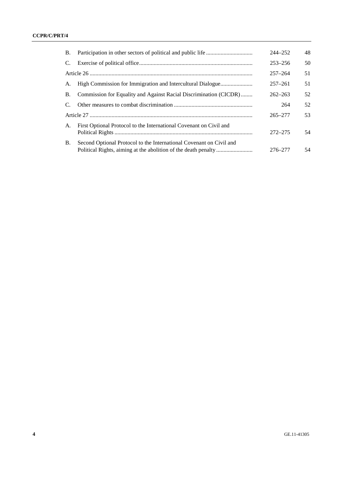| B. |                                                                     | $244 - 252$ | 48 |
|----|---------------------------------------------------------------------|-------------|----|
| C. |                                                                     | $253 - 256$ | 50 |
|    |                                                                     | $257 - 264$ | 51 |
| А. | High Commission for Immigration and Intercultural Dialogue          | $257 - 261$ | 51 |
| B. | Commission for Equality and Against Racial Discrimination (CICDR)   | $262 - 263$ | 52 |
|    |                                                                     | 264         | 52 |
|    |                                                                     | $265 - 277$ | 53 |
| A. | First Optional Protocol to the International Covenant on Civil and  | $272 - 275$ | 54 |
| B. | Second Optional Protocol to the International Covenant on Civil and | 276–277     | 54 |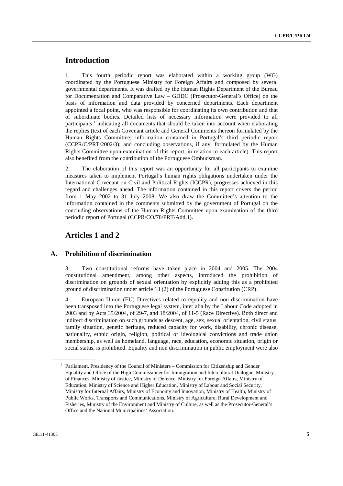# **Introduction**

1. This fourth periodic report was elaborated within a working group (WG) coordinated by the Portuguese Ministry for Foreign Affairs and composed by several governmental departments. It was drafted by the Human Rights Department of the Bureau for Documentation and Comparative Law – GDDC (Prosecutor-General's Office) on the basis of information and data provided by concerned departments. Each department appointed a focal point, who was responsible for coordinating its own contribution and that of subordinate bodies. Detailed lists of necessary information were provided to all participants,<sup>1</sup> indicating all documents that should be taken into account when elaborating the replies (text of each Covenant article and General Comments thereon formulated by the Human Rights Committee; information contained in Portugal's third periodic report (CCPR/C/PRT/2002/3); and concluding observations, if any, formulated by the Human Rights Committee upon examination of this report, in relation to each article). This report also benefited from the contribution of the Portuguese Ombudsman.

2. The elaboration of this report was an opportunity for all participants to examine measures taken to implement Portugal's human rights obligations undertaken under the International Covenant on Civil and Political Rights (ICCPR), progresses achieved in this regard and challenges ahead. The information contained in this report covers the period from 1 May 2002 to 31 July 2008. We also draw the Committee's attention to the information contained in the comments submitted by the government of Portugal on the concluding observations of the Human Rights Committee upon examination of the third periodic report of Portugal (CCPR/CO/78/PRT/Add.1).

# **Articles 1 and 2**

# **A. Prohibition of discrimination**

3. Two constitutional reforms have taken place in 2004 and 2005. The 2004 constitutional amendment, among other aspects, introduced the prohibition of discrimination on grounds of sexual orientation by explicitly adding this as a prohibited ground of discrimination under article 13 (2) of the Portuguese Constitution (CRP).

4. European Union (EU) Directives related to equality and non discrimination have been transposed into the Portuguese legal system, inter alia by the Labour Code adopted in 2003 and by Acts 35/2004, of 29-7, and 18/2004, of 11-5 (Race Directive). Both direct and indirect discrimination on such grounds as descent, age, sex, sexual orientation, civil status, family situation, genetic heritage, reduced capacity for work, disability, chronic disease, nationality, ethnic origin, religion, political or ideological convictions and trade union membership, as well as homeland, language, race, education, economic situation, origin or social status, is prohibited. Equality and non discrimination in public employment were also

<sup>&</sup>lt;sup>1</sup> Parliament, Presidency of the Council of Ministers - Commission for Citizenship and Gender Equality and Office of the High Commissioner for Immigration and Intercultural Dialogue, Ministry of Finances, Ministry of Justice, Ministry of Defence, Ministry for Foreign Affairs, Ministry of Education, Ministry of Science and Higher Education, Ministry of Labour and Social Security, Ministry for Internal Affairs, Ministry of Economy and Innovation, Ministry of Health, Ministry of Public Works, Transports and Communications, Ministry of Agriculture, Rural Development and Fisheries, Ministry of the Environment and Ministry of Culture, as well as the Prosecutor-General's Office and the National Municipalities' Association.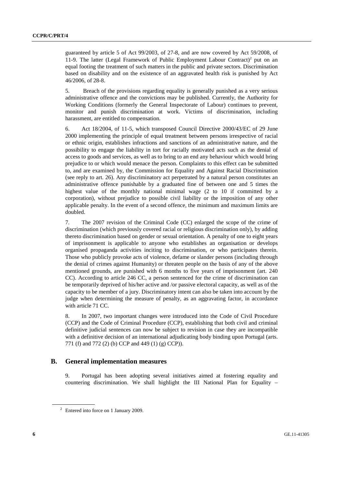guaranteed by article 5 of Act 99/2003, of 27-8, and are now covered by Act 59/2008, of 11-9. The latter (Legal Framework of Public Employment Labour Contract)<sup>2</sup> put on an equal footing the treatment of such matters in the public and private sectors. Discrimination based on disability and on the existence of an aggravated health risk is punished by Act 46/2006, of 28-8.

5. Breach of the provisions regarding equality is generally punished as a very serious administrative offence and the convictions may be published. Currently, the Authority for Working Conditions (formerly the General Inspectorate of Labour) continues to prevent, monitor and punish discrimination at work. Victims of discrimination, including harassment, are entitled to compensation.

6. Act 18/2004, of 11-5, which transposed Council Directive 2000/43/EC of 29 June 2000 implementing the principle of equal treatment between persons irrespective of racial or ethnic origin, establishes infractions and sanctions of an administrative nature, and the possibility to engage the liability in tort for racially motivated acts such as the denial of access to goods and services, as well as to bring to an end any behaviour which would bring prejudice to or which would menace the person. Complaints to this effect can be submitted to, and are examined by, the Commission for Equality and Against Racial Discrimination (see reply to art. 26). Any discriminatory act perpetrated by a natural person constitutes an administrative offence punishable by a graduated fine of between one and 5 times the highest value of the monthly national minimal wage (2 to 10 if committed by a corporation), without prejudice to possible civil liability or the imposition of any other applicable penalty. In the event of a second offence, the minimum and maximum limits are doubled.

7. The 2007 revision of the Criminal Code (CC) enlarged the scope of the crime of discrimination (which previously covered racial or religious discrimination only), by adding thereto discrimination based on gender or sexual orientation. A penalty of one to eight years of imprisonment is applicable to anyone who establishes an organisation or develops organised propaganda activities inciting to discrimination, or who participates therein. Those who publicly provoke acts of violence, defame or slander persons (including through the denial of crimes against Humanity) or threaten people on the basis of any of the above mentioned grounds, are punished with 6 months to five years of imprisonment (art. 240 CC). According to article 246 CC, a person sentenced for the crime of discrimination can be temporarily deprived of his/her active and /or passive electoral capacity, as well as of the capacity to be member of a jury. Discriminatory intent can also be taken into account by the judge when determining the measure of penalty, as an aggravating factor, in accordance with article 71 CC.

8. In 2007, two important changes were introduced into the Code of Civil Procedure (CCP) and the Code of Criminal Procedure (CCP), establishing that both civil and criminal definitive judicial sentences can now be subject to revision in case they are incompatible with a definitive decision of an international adjudicating body binding upon Portugal (arts. 771 (f) and 772 (2) (b) CCP and 449 (1) (g) CCP)).

#### **B. General implementation measures**

9. Portugal has been adopting several initiatives aimed at fostering equality and countering discrimination. We shall highlight the III National Plan for Equality  $-$ 

<sup>&</sup>lt;sup>2</sup> Entered into force on 1 January 2009.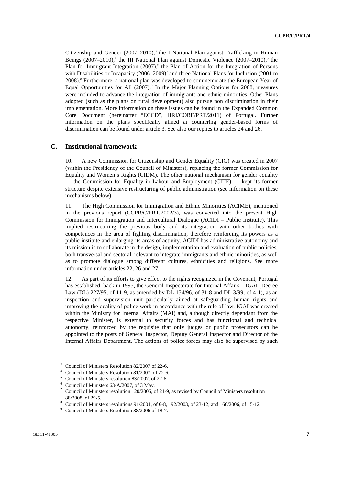Citizenship and Gender  $(2007-2010)$ ,<sup>3</sup> the I National Plan against Trafficking in Human Beings  $(2007-2010)$ ,<sup>4</sup> the III National Plan against Domestic Violence  $(2007-2010)$ ,<sup>5</sup> the Plan for Immigrant Integration (2007),<sup>6</sup> the Plan of Action for the Integration of Persons with Disabilities or Incapacity  $(2006-2009)^7$  and three National Plans for Inclusion (2001 to 2008).<sup>8</sup> Furthermore, a national plan was developed to commemorate the European Year of Equal Opportunities for All (2007).<sup>9</sup> In the Major Planning Options for 2008, measures were included to advance the integration of immigrants and ethnic minorities. Other Plans adopted (such as the plans on rural development) also pursue non discrimination in their implementation. More information on these issues can be found in the Expanded Common Core Document (hereinafter "ECCD", HRI/CORE/PRT/2011) of Portugal. Further information on the plans specifically aimed at countering gender-based forms of discrimination can be found under article 3. See also our replies to articles 24 and 26.

#### **C. Institutional framework**

10. A new Commission for Citizenship and Gender Equality (CIG) was created in 2007 (within the Presidency of the Council of Ministers), replacing the former Commission for Equality and Women's Rights (CIDM). The other national mechanism for gender equality — the Commission for Equality in Labour and Employment  $(CITE)$  — kept its former structure despite extensive restructuring of public administration (see information on these mechanisms below).

11. The High Commission for Immigration and Ethnic Minorities (ACIME), mentioned in the previous report (CCPR/C/PRT/2002/3), was converted into the present High Commission for Immigration and Intercultural Dialogue (ACIDI – Public Institute). This implied restructuring the previous body and its integration with other bodies with competences in the area of fighting discrimination, therefore reinforcing its powers as a public institute and enlarging its areas of activity. ACIDI has administrative autonomy and its mission is to collaborate in the design, implementation and evaluation of public policies, both transversal and sectoral, relevant to integrate immigrants and ethnic minorities, as well as to promote dialogue among different cultures, ethnicities and religions. See more information under articles 22, 26 and 27.

12. As part of its efforts to give effect to the rights recognized in the Covenant, Portugal has established, back in 1995, the General Inspectorate for Internal Affairs – IGAI (Decree Law (DL) 227/95, of 11-9, as amended by DL 154/96, of 31-8 and DL 3/99, of 4-1), as an inspection and supervision unit particularly aimed at safeguarding human rights and improving the quality of police work in accordance with the rule of law. IGAI was created within the Ministry for Internal Affairs (MAI) and, although directly dependant from the respective Minister, is external to security forces and has functional and technical autonomy, reinforced by the requisite that only judges or public prosecutors can be appointed to the posts of General Inspector, Deputy General Inspector and Director of the Internal Affairs Department. The actions of police forces may also be supervised by such

<sup>&</sup>lt;sup>3</sup> Council of Ministers Resolution 82/2007 of 22-6.

<sup>4</sup> Council of Ministers Resolution 81/2007, of 22-6.

<sup>5</sup> Council of Ministers resolution 83/2007, of 22-6.

<sup>6</sup> Council of Ministers 63-A/2007, of 3 May.

<sup>7</sup> Council of Ministers resolution 120/2006, of 21-9, as revised by Council of Ministers resolution

<sup>88/2008,</sup> of 29-5. 8 Council of Ministers resolutions 91/2001, of 6-8, 192/2003, of 23-12, and 166/2006, of 15-12.

<sup>&</sup>lt;sup>9</sup> Council of Ministers Resolution 88/2006 of 18-7.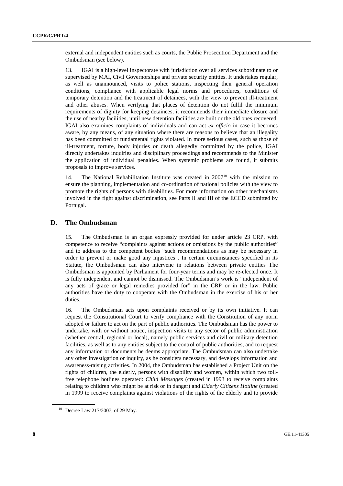external and independent entities such as courts, the Public Prosecution Department and the Ombudsman (see below).

13. IGAI is a high-level inspectorate with jurisdiction over all services subordinate to or supervised by MAI, Civil Governorships and private security entities. It undertakes regular, as well as unannounced, visits to police stations, inspecting their general operation conditions, compliance with applicable legal norms and procedures, conditions of temporary detention and the treatment of detainees, with the view to prevent ill-treatment and other abuses. When verifying that places of detention do not fulfil the minimum requirements of dignity for keeping detainees, it recommends their immediate closure and the use of nearby facilities, until new detention facilities are built or the old ones recovered. IGAI also examines complaints of individuals and can act *ex officio* in case it becomes aware, by any means, of any situation where there are reasons to believe that an illegality has been committed or fundamental rights violated. In more serious cases, such as those of ill-treatment, torture, body injuries or death allegedly committed by the police, IGAI directly undertakes inquiries and disciplinary proceedings and recommends to the Minister the application of individual penalties. When systemic problems are found, it submits proposals to improve services.

14. The National Rehabilitation Institute was created in 2007<sup>10</sup> with the mission to ensure the planning, implementation and co-ordination of national policies with the view to promote the rights of persons with disabilities. For more information on other mechanisms involved in the fight against discrimination, see Parts II and III of the ECCD submitted by Portugal.

# **D. The Ombudsman**

15. The Ombudsman is an organ expressly provided for under article 23 CRP, with competence to receive "complaints against actions or omissions by the public authorities" and to address to the competent bodies "such recommendations as may be necessary in order to prevent or make good any injustices". In certain circumstances specified in its Statute, the Ombudsman can also intervene in relations between private entities The Ombudsman is appointed by Parliament for four-year terms and may be re-elected once. It is fully independent and cannot be dismissed. The Ombudsman's work is "independent of any acts of grace or legal remedies provided for" in the CRP or in the law. Public authorities have the duty to cooperate with the Ombudsman in the exercise of his or her duties.

16. The Ombudsman acts upon complaints received or by its own initiative. It can request the Constitutional Court to verify compliance with the Constitution of any norm adopted or failure to act on the part of public authorities. The Ombudsman has the power to undertake, with or without notice, inspection visits to any sector of public administration (whether central, regional or local), namely public services and civil or military detention facilities, as well as to any entities subject to the control of public authorities, and to request any information or documents he deems appropriate. The Ombudsman can also undertake any other investigation or inquiry, as he considers necessary, and develops information and awareness-raising activities. In 2004, the Ombudsman has established a Project Unit on the rights of children, the elderly, persons with disability and women, within which two tollfree telephone hotlines operated: *Child Messages* (created in 1993 to receive complaints relating to children who might be at risk or in danger) and *Elderly Citizens Hotline* (created in 1999 to receive complaints against violations of the rights of the elderly and to provide

<sup>10</sup> Decree Law 217/2007, of 29 May.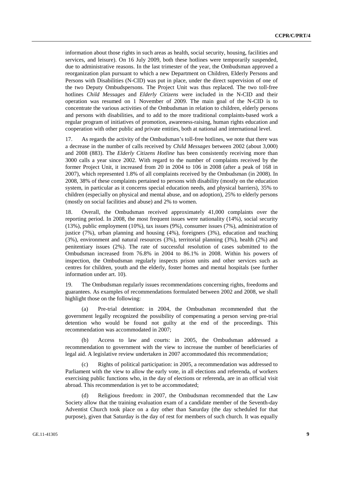information about those rights in such areas as health, social security, housing, facilities and services, and leisure). On 16 July 2009, both these hotlines were temporarily suspended, due to administrative reasons. In the last trimester of the year, the Ombudsman approved a reorganization plan pursuant to which a new Department on Children, Elderly Persons and Persons with Disabilities (N-CID) was put in place, under the direct supervision of one of the two Deputy Ombudspersons. The Project Unit was thus replaced. The two toll-free hotlines *Child Messages* and *Elderly Citizens* were included in the N-CID and their operation was resumed on 1 November of 2009. The main goal of the N-CID is to concentrate the various activities of the Ombudsman in relation to children, elderly persons and persons with disabilities, and to add to the more traditional complaints-based work a regular program of initiatives of promotion, awareness-raising, human rights education and cooperation with other public and private entities, both at national and international level.

17. As regards the activity of the Ombudsman's toll-free hotlines, we note that there was a decrease in the number of calls received by *Child Messages* between 2002 (about 3,000) and 2008 (883). The *Elderly Citizens Hotline* has been consistently receiving more than 3000 calls a year since 2002. With regard to the number of complaints received by the former Project Unit, it increased from 20 in 2004 to 106 in 2008 (after a peak of 168 in 2007), which represented 1.8% of all complaints received by the Ombudsman (in 2008). In 2008, 38% of these complaints pertained to persons with disability (mostly on the education system, in particular as it concerns special education needs, and physical barriers), 35% to children (especially on physical and mental abuse, and on adoption), 25% to elderly persons (mostly on social facilities and abuse) and 2% to women.

18. Overall, the Ombudsman received approximately 41,000 complaints over the reporting period. In 2008, the most frequent issues were nationality (14%), social security (13%), public employment (10%), tax issues (9%), consumer issues (7%), administration of justice (7%), urban planning and housing (4%), foreigners (3%), education and teaching (3%), environment and natural resources (3%), territorial planning (3%), health (2%) and penitentiary issues (2%). The rate of successful resolution of cases submitted to the Ombudsman increased from 76.8% in 2004 to 86.1% in 2008. Within his powers of inspection, the Ombudsman regularly inspects prison units and other services such as centres for children, youth and the elderly, foster homes and mental hospitals (see further information under art. 10).

19. The Ombudsman regularly issues recommendations concerning rights, freedoms and guarantees. As examples of recommendations formulated between 2002 and 2008, we shall highlight those on the following:

 (a) Pre-trial detention: in 2004, the Ombudsman recommended that the government legally recognized the possibility of compensating a person serving pre-trial detention who would be found not guilty at the end of the proceedings. This recommendation was accommodated in 2007;

 (b) Access to law and courts: in 2005, the Ombudsman addressed a recommendation to government with the view to increase the number of beneficiaries of legal aid. A legislative review undertaken in 2007 accommodated this recommendation;

 (c) Rights of political participation: in 2005, a recommendation was addressed to Parliament with the view to allow the early vote, in all elections and referenda, of workers exercising public functions who, in the day of elections or referenda, are in an official visit abroad. This recommendation is yet to be accommodated;

 (d) Religious freedom: in 2007, the Ombudsman recommended that the Law Society allow that the training evaluation exam of a candidate member of the Seventh-day Adventist Church took place on a day other than Saturday (the day scheduled for that purpose), given that Saturday is the day of rest for members of such church. It was equally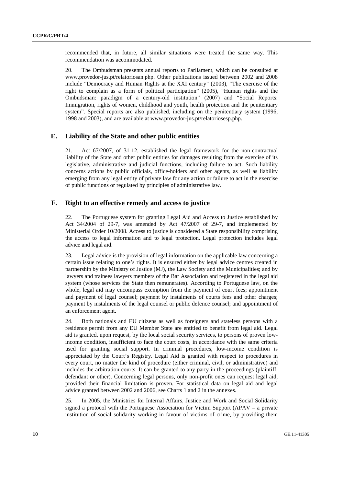recommended that, in future, all similar situations were treated the same way. This recommendation was accommodated.

20. The Ombudsman presents annual reports to Parliament, which can be consulted at www.provedor-jus.pt/relatoriosan.php. Other publications issued between 2002 and 2008 include "Democracy and Human Rights at the XXI century" (2003), "The exercise of the right to complain as a form of political participation" (2005), "Human rights and the Ombudsman: paradigm of a century-old institution" (2007) and "Social Reports: Immigration, rights of women, childhood and youth, health protection and the penitentiary system". Special reports are also published, including on the penitentiary system (1996, 1998 and 2003), and are available at www.provedor-jus.pt/relatoriosesp.php.

# **E. Liability of the State and other public entities**

21. Act 67/2007, of 31-12, established the legal framework for the non-contractual liability of the State and other public entities for damages resulting from the exercise of its legislative, administrative and judicial functions, including failure to act. Such liability concerns actions by public officials, office-holders and other agents, as well as liability emerging from any legal entity of private law for any action or failure to act in the exercise of public functions or regulated by principles of administrative law.

#### **F. Right to an effective remedy and access to justice**

22. The Portuguese system for granting Legal Aid and Access to Justice established by Act 34/2004 of 29-7, was amended by Act 47/2007 of 29-7, and implemented by Ministerial Order 10/2008. Access to justice is considered a State responsibility comprising the access to legal information and to legal protection. Legal protection includes legal advice and legal aid.

23. Legal advice is the provision of legal information on the applicable law concerning a certain issue relating to one's rights. It is ensured either by legal advice centres created in partnership by the Ministry of Justice (MJ), the Law Society and the Municipalities; and by lawyers and trainees lawyers members of the Bar Association and registered in the legal aid system (whose services the State then remunerates). According to Portuguese law, on the whole, legal aid may encompass exemption from the payment of court fees; appointment and payment of legal counsel; payment by instalments of courts fees and other charges; payment by instalments of the legal counsel or public defence counsel; and appointment of an enforcement agent.

24. Both nationals and EU citizens as well as foreigners and stateless persons with a residence permit from any EU Member State are entitled to benefit from legal aid. Legal aid is granted, upon request, by the local social security services, to persons of proven lowincome condition, insufficient to face the court costs, in accordance with the same criteria used for granting social support. In criminal procedures, low-income condition is appreciated by the Court's Registry. Legal Aid is granted with respect to procedures in every court, no matter the kind of procedure (either criminal, civil, or administrative) and includes the arbitration courts. It can be granted to any party in the proceedings (plaintiff, defendant or other). Concerning legal persons, only non-profit ones can request legal aid, provided their financial limitation is proven. For statistical data on legal aid and legal advice granted between 2002 and 2006, see Charts 1 and 2 in the annexes.

25. In 2005, the Ministries for Internal Affairs, Justice and Work and Social Solidarity signed a protocol with the Portuguese Association for Victim Support (APAV – a private institution of social solidarity working in favour of victims of crime, by providing them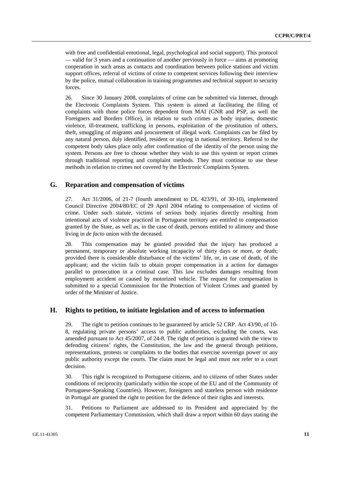with free and confidential emotional, legal, psychological and social support). This protocol — valid for 3 years and a continuation of another previously in force — aims at promoting cooperation in such areas as contacts and coordination between police stations and victim support offices, referral of victims of crime to competent services following their interview by the police, mutual collaboration in training programmes and technical support to security forces.

26. Since 30 January 2008, complaints of crime can be submitted via Internet, through the Electronic Complaints System. This system is aimed at facilitating the filing of complaints with those police forces dependent from MAI (GNR and PSP, as well the Foreigners and Borders Office), in relation to such crimes as body injuries, domestic violence, ill-treatment, trafficking in persons, exploitation of the prostitution of others, theft, smuggling of migrants and procurement of illegal work. Complaints can be filed by any natural person, duly identified, resident or staying in national territory. Referral to the competent body takes place only after confirmation of the identity of the person using the system. Persons are free to choose whether they wish to use this system or report crimes through traditional reporting and complaint methods. They must continue to use these methods in relation to crimes not covered by the Electronic Complaints System.

# **G. Reparation and compensation of victims**

27. Act 31/2006, of 21-7 (fourth amendment to DL 423/91, of 30-10), implemented Council Directive 2004/80/EC of 29 April 2004 relating to compensation of victims of crime. Under such statute, victims of serious body injuries directly resulting from intentional acts of violence practiced in Portuguese territory are entitled to compensation granted by the State, as well as, in the case of death, persons entitled to alimony and those living in *de facto* union with the deceased.

28. This compensation may be granted provided that the injury has produced a permanent, temporary or absolute working incapacity of thirty days or more, or death; provided there is considerable disturbance of the victims' life, or, in case of death, of the applicant; and the victim fails to obtain proper compensation in a action for damages parallel to prosecution in a criminal case. This law excludes damages resulting from employment accident or caused by motorized vehicle. The request for compensation is submitted to a special Commission for the Protection of Violent Crimes and granted by order of the Minister of Justice.

# **H. Rights to petition, to initiate legislation and of access to information**

29. The right to petition continues to be guaranteed by article 52 CRP. Act 43/90, of 10- 8, regulating private persons' access to public authorities, excluding the courts, was amended pursuant to Act 45/2007, of 24-8. The right of petition is granted with the view to defending citizens' rights, the Constitution, the law and the general through petitions, representations, protests or complaints to the bodies that exercise sovereign power or any public authority except the courts. The claim must be legal and must not refer to a court decision.

30. This right is recognized to Portuguese citizens, and to citizens of other States under conditions of reciprocity (particularly within the scope of the EU and of the Community of Portuguese-Speaking Countries). However, foreigners and stateless person with residence in Portugal are granted the right to petition for the defence of their rights and interests.

31. Petitions to Parliament are addressed to its President and appreciated by the competent Parliamentary Commission, which shall draw a report within 60 days stating the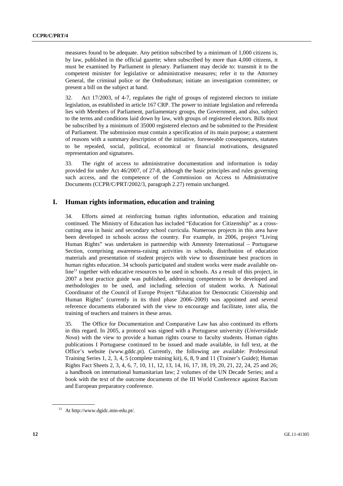measures found to be adequate. Any petition subscribed by a minimum of 1,000 citizens is, by law, published in the official gazette; when subscribed by more than 4,000 citizens, it must be examined by Parliament in plenary. Parliament may decide to: transmit it to the competent minister for legislative or administrative measures; refer it to the Attorney General, the criminal police or the Ombudsman; initiate an investigation committee; or present a bill on the subject at hand.

32. Act 17/2003, of 4-7, regulates the right of groups of registered electors to initiate legislation, as established in article 167 CRP. The power to initiate legislation and referenda lies with Members of Parliament, parliamentary groups, the Government, and also, subject to the terms and conditions laid down by law, with groups of registered electors. Bills must be subscribed by a minimum of 35000 registered electors and be submitted to the President of Parliament. The submission must contain a specification of its main purpose; a statement of reasons with a summary description of the initiative, foreseeable consequences, statutes to be repealed, social, political, economical or financial motivations, designated representation and signatures.

33. The right of access to administrative documentation and information is today provided for under Act 46/2007, of 27-8, although the basic principles and rules governing such access, and the competence of the Commission on Access to Administrative Documents (CCPR/C/PRT/2002/3, paragraph 2.27) remain unchanged.

# **I. Human rights information, education and training**

34. Efforts aimed at reinforcing human rights information, education and training continued. The Ministry of Education has included "Education for Citizenship" as a crosscutting area in basic and secondary school curricula. Numerous projects in this area have been developed in schools across the country. For example, in 2006, project "Living Human Rights" was undertaken in partnership with Amnesty International – Portuguese Section, comprising awareness-raising activities in schools, distribution of education materials and presentation of student projects with view to disseminate best practices in human rights education. 34 schools participated and student works were made available on- $\text{line}^{11}$  together with educative resources to be used in schools. As a result of this project, in 2007 a best practice guide was published, addressing competences to be developed and methodologies to be used, and including selection of student works. A National Coordinator of the Council of Europe Project "Education for Democratic Citizenship and Human Rights" (currently in its third phase 2006–2009) was appointed and several reference documents elaborated with the view to encourage and facilitate, inter alia, the training of teachers and trainers in these areas.

35. The Office for Documentation and Comparative Law has also continued its efforts in this regard. In 2005, a protocol was signed with a Portuguese university (*Universidade Nova*) with the view to provide a human rights course to faculty students. Human rights publications I Portuguese continued to be issued and made available, in full text, at the Office's website (www.gddc.pt). Currently, the following are available: Professional Training Series 1, 2, 3, 4, 5 (complete training kit), 6, 8, 9 and 11 (Trainer's Guide); Human Rights Fact Sheets 2, 3, 4, 6, 7, 10, 11, 12, 13, 14, 16, 17, 18, 19, 20, 21, 22, 24, 25 and 26; a handbook on international humanitarian law; 2 volumes of the UN Decade Series; and a book with the text of the outcome documents of the III World Conference against Racism and European preparatory conference.

<sup>11</sup> At http://www.dgidc.min-edu.pt/.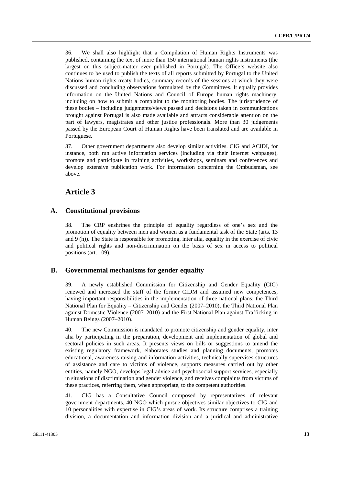36. We shall also highlight that a Compilation of Human Rights Instruments was published, containing the text of more than 150 international human rights instruments (the largest on this subject-matter ever published in Portugal). The Office's website also continues to be used to publish the texts of all reports submitted by Portugal to the United Nations human rights treaty bodies, summary records of the sessions at which they were discussed and concluding observations formulated by the Committees. It equally provides information on the United Nations and Council of Europe human rights machinery, including on how to submit a complaint to the monitoring bodies. The jurisprudence of these bodies – including judgements/views passed and decisions taken in communications brought against Portugal is also made available and attracts considerable attention on the part of lawyers, magistrates and other justice professionals. More than 30 judgements passed by the European Court of Human Rights have been translated and are available in Portuguese.

37. Other government departments also develop similar activities. CIG and ACIDI, for instance, both run active information services (including via their Internet webpages), promote and participate in training activities, workshops, seminars and conferences and develop extensive publication work. For information concerning the Ombudsman, see above.

# **Article 3**

# **A. Constitutional provisions**

38. The CRP enshrines the principle of equality regardless of one's sex and the promotion of equality between men and women as a fundamental task of the State (arts. 13 and 9 (h)). The State is responsible for promoting, inter alia, equality in the exercise of civic and political rights and non-discrimination on the basis of sex in access to political positions (art. 109).

# **B. Governmental mechanisms for gender equality**

39. A newly established Commission for Citizenship and Gender Equality (CIG) renewed and increased the staff of the former CIDM and assumed new competences, having important responsibilities in the implementation of three national plans: the Third National Plan for Equality – Citizenship and Gender (2007–2010), the Third National Plan against Domestic Violence (2007–2010) and the First National Plan against Trafficking in Human Beings (2007–2010).

40. The new Commission is mandated to promote citizenship and gender equality, inter alia by participating in the preparation, development and implementation of global and sectoral policies in such areas. It presents views on bills or suggestions to amend the existing regulatory framework, elaborates studies and planning documents, promotes educational, awareness-raising and information activities, technically supervises structures of assistance and care to victims of violence, supports measures carried out by other entities, namely NGO, develops legal advice and psychosocial support services, especially in situations of discrimination and gender violence, and receives complaints from victims of these practices, referring them, when appropriate, to the competent authorities.

41. CIG has a Consultative Council composed by representatives of relevant government departments, 40 NGO which pursue objectives similar objectives to CIG and 10 personalities with expertise in CIG's areas of work. Its structure comprises a training division, a documentation and information division and a juridical and administrative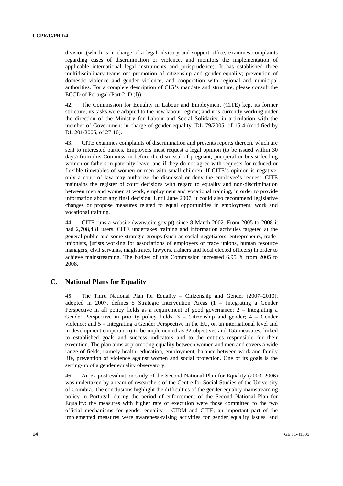division (which is in charge of a legal advisory and support office, examines complaints regarding cases of discrimination or violence, and monitors the implementation of applicable international legal instruments and jurisprudence). It has established three multidisciplinary teams on: promotion of citizenship and gender equality; prevention of domestic violence and gender violence; and cooperation with regional and municipal authorities. For a complete description of CIG's mandate and structure, please consult the ECCD of Portugal (Part 2, D (f)).

42. The Commission for Equality in Labour and Employment (CITE) kept its former structure; its tasks were adapted to the new labour regime; and it is currently working under the direction of the Ministry for Labour and Social Solidarity, in articulation with the member of Government in charge of gender equality (DL 79/2005, of 15-4 (modified by DL 201/2006, of 27-10).

43. CITE examines complaints of discrimination and presents reports thereon, which are sent to interested parties. Employers must request a legal opinion (to be issued within 30 days) from this Commission before the dismissal of pregnant, puerperal or breast-feeding women or fathers in paternity leave, and if they do not agree with requests for reduced or flexible timetables of women or men with small children. If CITE's opinion is negative, only a court of law may authorize the dismissal or deny the employee's request. CITE maintains the register of court decisions with regard to equality and non-discrimination between men and women at work, employment and vocational training, in order to provide information about any final decision. Until June 2007, it could also recommend legislative changes or propose measures related to equal opportunities in employment, work and vocational training.

44. CITE runs a website (www.cite.gov.pt) since 8 March 2002. From 2005 to 2008 it had 2,708,431 users. CITE undertakes training and information activities targeted at the general public and some strategic groups (such as social negotiators, entrepreneurs, tradeunionists, jurists working for associations of employers or trade unions, human resource managers, civil servants, magistrates, lawyers, trainers and local elected officers) in order to achieve mainstreaming. The budget of this Commission increased 6.95 % from 2005 to 2008.

# **C. National Plans for Equality**

45. The Third National Plan for Equality – Citizenship and Gender (2007–2010), adopted in 2007, defines 5 Strategic Intervention Areas (1 – Integrating a Gender Perspective in all policy fields as a requirement of good governance; 2 – Integrating a Gender Perspective in priority policy fields; 3 – Citizenship and gender; 4 – Gender violence; and 5 – Integrating a Gender Perspective in the EU, on an international level and in development cooperation) to be implemented as 32 objectives and 155 measures, linked to established goals and success indicators and to the entities responsible for their execution. The plan aims at promoting equality between women and men and covers a wide range of fields, namely health, education, employment, balance between work and family life, prevention of violence against women and social protection. One of its goals is the setting-up of a gender equality observatory.

46. An ex-post evaluation study of the Second National Plan for Equality (2003–2006) was undertaken by a team of researchers of the Centre for Social Studies of the University of Coimbra. The conclusions highlight the difficulties of the gender equality mainstreaming policy in Portugal, during the period of enforcement of the Second National Plan for Equality: the measures with higher rate of execution were those committed to the two official mechanisms for gender equality – CIDM and CITE; an important part of the implemented measures were awareness-raising activities for gender equality issues, and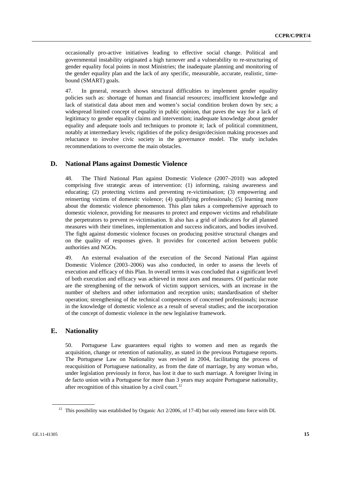occasionally pro-active initiatives leading to effective social change. Political and governmental instability originated a high turnover and a vulnerability to re-structuring of gender equality focal points in most Ministries; the inadequate planning and monitoring of the gender equality plan and the lack of any specific, measurable, accurate, realistic, timebound (SMART) goals.

47. In general, research shows structural difficulties to implement gender equality policies such as: shortage of human and financial resources; insufficient knowledge and lack of statistical data about men and women's social condition broken down by sex; a widespread limited concept of equality in public opinion, that paves the way for a lack of legitimacy to gender equality claims and intervention; inadequate knowledge about gender equality and adequate tools and techniques to promote it; lack of political commitment, notably at intermediary levels; rigidities of the policy design/decision making processes and reluctance to involve civic society in the governance model. The study includes recommendations to overcome the main obstacles.

### **D. National Plans against Domestic Violence**

48. The Third National Plan against Domestic Violence (2007–2010) was adopted comprising five strategic areas of intervention: (1) informing, raising awareness and educating; (2) protecting victims and preventing re-victimisation; (3) empowering and reinserting victims of domestic violence; (4) qualifying professionals; (5) learning more about the domestic violence phenomenon. This plan takes a comprehensive approach to domestic violence, providing for measures to protect and empower victims and rehabilitate the perpetrators to prevent re-victimisation. It also has a grid of indicators for all planned measures with their timelines, implementation and success indicators, and bodies involved. The fight against domestic violence focuses on producing positive structural changes and on the quality of responses given. It provides for concerted action between public authorities and NGOs.

49. An external evaluation of the execution of the Second National Plan against Domestic Violence (2003–2006) was also conducted, in order to assess the levels of execution and efficacy of this Plan. In overall terms it was concluded that a significant level of both execution and efficacy was achieved in most axes and measures. Of particular note are the strengthening of the network of victim support services, with an increase in the number of shelters and other information and reception units; standardisation of shelter operation; strengthening of the technical competences of concerned professionals; increase in the knowledge of domestic violence as a result of several studies; and the incorporation of the concept of domestic violence in the new legislative framework.

### **E. Nationality**

50. Portuguese Law guarantees equal rights to women and men as regards the acquisition, change or retention of nationality, as stated in the previous Portuguese reports. The Portuguese Law on Nationality was revised in 2004, facilitating the process of reacquisition of Portuguese nationality, as from the date of marriage, by any woman who, under legislation previously in force, has lost it due to such marriage. A foreigner living in de facto union with a Portuguese for more than 3 years may acquire Portuguese nationality, after recognition of this situation by a civil court.<sup>12</sup>

<sup>&</sup>lt;sup>12</sup> This possibility was established by Organic Act 2/2006, of 17-4l) but only entered into force with DL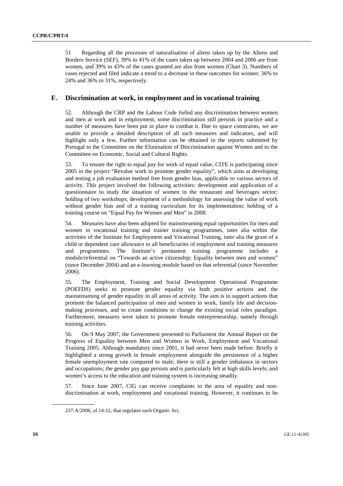51 Regarding all the processes of naturalisation of aliens taken up by the Aliens and Borders Service (SEF), 39% to 41% of the cases taken up between 2004 and 2006 are from women, and 39% to 43% of the cases granted are also from women (Chart 3). Numbers of cases rejected and filed indicate a trend to a decrease in these outcomes for women: 36% to 24% and 36% to 31%, respectively.

# **F. Discrimination at work, in employment and in vocational training**

52. Although the CRP and the Labour Code forbid any discrimination between women and men at work and in employment, some discrimination still persists in practice and a number of measures have been put in place to combat it. Due to space constraints, we are unable to provide a detailed description of all such measures and indicators, and will highlight only a few. Further information can be obtained in the reports submitted by Portugal to the Committee on the Elimination of Discrimination against Women and to the Committee on Economic, Social and Cultural Rights.

53. To ensure the right to equal pay for work of equal value, CITE is participating since 2005 in the project "Revalue work to promote gender equality", which aims at developing and testing a job evaluation method free from gender bias, applicable to various sectors of activity. This project involved the following activities: development and application of a questionnaire to study the situation of women in the restaurant and beverages sector; holding of two workshops; development of a methodology for assessing the value of work without gender bias and of a training curriculum for its implementation; holding of a training course on "Equal Pay for Women and Men" in 2008.

54. Measures have also been adopted for mainstreaming equal opportunities for men and women in vocational training and trainer training programmes, inter alia within the activities of the Institute for Employment and Vocational Training, inter alia the grant of a child or dependent care allowance to all beneficiaries of employment and training measures and programmes. The Institute's permanent training programme includes a module/referential on "Towards an active citizenship: Equality between men and women" (since December 2004) and an e-learning module based on that referential (since November 2006).

55. The Employment, Training and Social Development Operational Programme (POEFDS) seeks to promote gender equality via both positive actions and the mainstreaming of gender equality in all areas of activity. The aim is to support actions that promote the balanced participation of men and women in work, family life and decisionmaking processes, and to create conditions to change the existing social roles paradigm. Furthermore, measures were taken to promote female entrepreneurship, namely through training activities.

56. On 9 May 2007, the Government presented to Parliament the Annual Report on the Progress of Equality between Men and Women in Work, Employment and Vocational Training 2005. Although mandatory since 2001, it had never been made before. Briefly it highlighted a strong growth in female employment alongside the persistence of a higher female unemployment rate compared to male; there is still a gender imbalance in sectors and occupations; the gender pay gap persists and is particularly felt at high skills levels; and women's access to the education and training system is increasing steadily.

57. Since June 2007, CIG can receive complaints in the area of equality and nondiscrimination at work, employment and vocational training. However, it continues to be

<sup>237-</sup>A/2006, of 14-12, that regulates such Organic Act.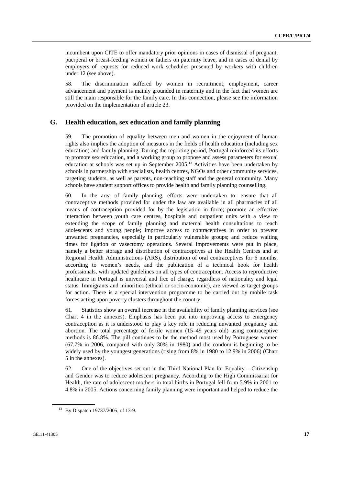incumbent upon CITE to offer mandatory prior opinions in cases of dismissal of pregnant, puerperal or breast-feeding women or fathers on paternity leave, and in cases of denial by employers of requests for reduced work schedules presented by workers with children under 12 (see above).

58. The discrimination suffered by women in recruitment, employment, career advancement and payment is mainly grounded in maternity and in the fact that women are still the main responsible for the family care. In this connection, please see the information provided on the implementation of article 23.

#### **G. Health education, sex education and family planning**

59. The promotion of equality between men and women in the enjoyment of human rights also implies the adoption of measures in the fields of health education (including sex education) and family planning. During the reporting period, Portugal reinforced its efforts to promote sex education, and a working group to propose and assess parameters for sexual education at schools was set up in September  $2005$ .<sup>13</sup> Activities have been undertaken by schools in partnership with specialists, health centres, NGOs and other community services, targeting students, as well as parents, non-teaching staff and the general community. Many schools have student support offices to provide health and family planning counselling.

60. In the area of family planning, efforts were undertaken to: ensure that all contraceptive methods provided for under the law are available in all pharmacies of all means of contraception provided for by the legislation in force; promote an effective interaction between youth care centres, hospitals and outpatient units with a view to extending the scope of family planning and maternal health consultations to reach adolescents and young people; improve access to contraceptives in order to prevent unwanted pregnancies, especially in particularly vulnerable groups; and reduce waiting times for ligation or vasectomy operations. Several improvements were put in place, namely a better storage and distribution of contraceptives at the Health Centres and at Regional Health Administrations (ARS), distribution of oral contraceptives for 6 months, according to women's needs, and the publication of a technical book for health professionals, with updated guidelines on all types of contraception. Access to reproductive healthcare in Portugal is universal and free of charge, regardless of nationality and legal status. Immigrants and minorities (ethical or socio-economic), are viewed as target groups for action. There is a special intervention programme to be carried out by mobile task forces acting upon poverty clusters throughout the country.

61. Statistics show an overall increase in the availability of family planning services (see Chart 4 in the annexes). Emphasis has been put into improving access to emergency contraception as it is understood to play a key role in reducing unwanted pregnancy and abortion. The total percentage of fertile women (15–49 years old) using contraceptive methods is 86.8%. The pill continues to be the method most used by Portuguese women (67.7% in 2006, compared with only 30% in 1980) and the condom is beginning to be widely used by the youngest generations (rising from 8% in 1980 to 12.9% in 2006) (Chart 5 in the annexes).

62. One of the objectives set out in the Third National Plan for Equality – Citizenship and Gender was to reduce adolescent pregnancy. According to the High Commissariat for Health, the rate of adolescent mothers in total births in Portugal fell from 5.9% in 2001 to 4.8% in 2005. Actions concerning family planning were important and helped to reduce the

<sup>&</sup>lt;sup>13</sup> By Dispatch 19737/2005, of 13-9.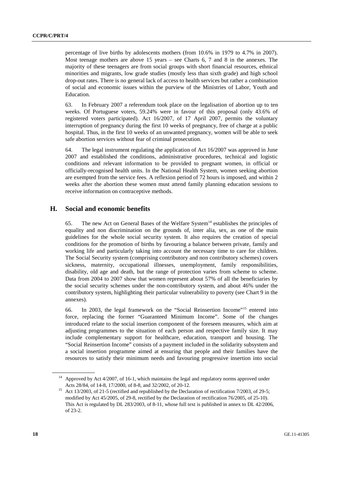percentage of live births by adolescents mothers (from 10.6% in 1979 to 4.7% in 2007). Most teenage mothers are above 15 years – see Charts 6, 7 and 8 in the annexes. The majority of these teenagers are from social groups with short financial resources, ethnical minorities and migrants, low grade studies (mostly less than sixth grade) and high school drop-out rates. There is no general lack of access to health services but rather a combination of social and economic issues within the purview of the Ministries of Labor, Youth and Education.

63. In February 2007 a referendum took place on the legalisation of abortion up to ten weeks. Of Portuguese voters, 59.24% were in favour of this proposal (only 43.6% of registered voters participated). Act 16/2007, of 17 April 2007, permits the voluntary interruption of pregnancy during the first 10 weeks of pregnancy, free of charge at a public hospital. Thus, in the first 10 weeks of an unwanted pregnancy, women will be able to seek safe abortion services without fear of criminal prosecution.

64. The legal instrument regulating the application of Act 16/2007 was approved in June 2007 and established the conditions, administrative procedures, technical and logistic conditions and relevant information to be provided to pregnant women, in official or officially-recognised health units. In the National Health System, women seeking abortion are exempted from the service fees. A reflexion period of 72 hours is imposed, and within 2 weeks after the abortion these women must attend family planning education sessions to receive information on contraceptive methods.

# **H. Social and economic benefits**

65. The new Act on General Bases of the Welfare System<sup>14</sup> establishes the principles of equality and non discrimination on the grounds of, inter alia, sex, as one of the main guidelines for the whole social security system. It also requires the creation of special conditions for the promotion of births by favouring a balance between private, family and working life and particularly taking into account the necessary time to care for children. The Social Security system (comprising contributory and non contributory schemes) covers sickness, maternity, occupational illnesses, unemployment, family responsibilities, disability, old age and death, but the range of protection varies from scheme to scheme. Data from 2004 to 2007 show that women represent about 57% of all the beneficiaries by the social security schemes under the non-contributory system, and about 46% under the contributory system, highlighting their particular vulnerability to poverty (see Chart 9 in the annexes).

66. In 2003, the legal framework on the "Social Reinsertion Income"15 entered into force, replacing the former "Guaranteed Minimum Income". Some of the changes introduced relate to the social insertion component of the foreseen measures, which aim at adjusting programmes to the situation of each person and respective family size. It may include complementary support for healthcare, education, transport and housing. The "Social Reinsertion Income" consists of a payment included in the solidarity subsystem and a social insertion programme aimed at ensuring that people and their families have the resources to satisfy their minimum needs and favouring progressive insertion into social

<sup>14</sup> Approved by Act 4/2007, of 16-1, which maintains the legal and regulatory norms approved under

Acts 28/84, of 14-8, 17/2000, of 8-8, and 32/2002, of 20-12.<br><sup>15</sup> Act 13/2003, of 21-5 (rectified and republished by the Declaration of rectification 7/2003, of 29-5; modified by Act 45/2005, of 29-8, rectified by the Declaration of rectification 76/2005, of 25-10). This Act is regulated by DL 283/2003, of 8-11, whose full text is published in annex to DL 42/2006, of 23-2.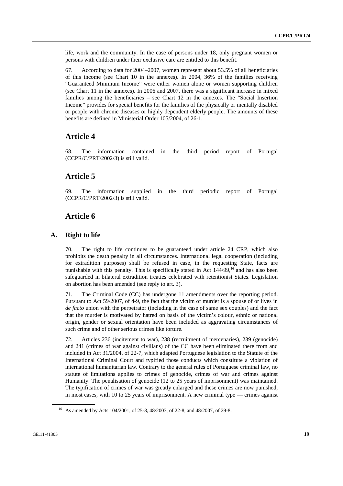life, work and the community. In the case of persons under 18, only pregnant women or persons with children under their exclusive care are entitled to this benefit.

67. According to data for 2004–2007, women represent about 53.5% of all beneficiaries of this income (see Chart 10 in the annexes). In 2004, 36% of the families receiving "Guaranteed Minimum Income" were either women alone or women supporting children (see Chart 11 in the annexes). In 2006 and 2007, there was a significant increase in mixed families among the beneficiaries – see Chart 12 in the annexes. The "Social Insertion Income" provides for special benefits for the families of the physically or mentally disabled or people with chronic diseases or highly dependent elderly people. The amounts of these benefits are defined in Ministerial Order 105/2004, of 26-1.

# **Article 4**

68. The information contained in the third period report of Portugal (CCPR/C/PRT/2002/3) is still valid.

# **Article 5**

69. The information supplied in the third periodic report of Portugal (CCPR/C/PRT/2002/3) is still valid.

# **Article 6**

# **A. Right to life**

70. The right to life continues to be guaranteed under article 24 CRP, which also prohibits the death penalty in all circumstances. International legal cooperation (including for extradition purposes) shall be refused in case, in the requesting State, facts are punishable with this penalty. This is specifically stated in Act 144/99,<sup>16</sup> and has also been safeguarded in bilateral extradition treaties celebrated with retentionist States. Legislation on abortion has been amended (see reply to art. 3).

71. The Criminal Code (CC) has undergone 11 amendments over the reporting period. Pursuant to Act 59/2007, of 4-9, the fact that the victim of murder is a spouse of or lives in *de facto* union with the perpetrator (including in the case of same sex couples) and the fact that the murder is motivated by hatred on basis of the victim's colour, ethnic or national origin, gender or sexual orientation have been included as aggravating circumstances of such crime and of other serious crimes like torture.

72. Articles 236 (incitement to war), 238 (recruitment of mercenaries), 239 (genocide) and 241 (crimes of war against civilians) of the CC have been eliminated there from and included in Act 31/2004, of 22-7, which adapted Portuguese legislation to the Statute of the International Criminal Court and typified those conducts which constitute a violation of international humanitarian law. Contrary to the general rules of Portuguese criminal law, no statute of limitations applies to crimes of genocide, crimes of war and crimes against Humanity. The penalisation of genocide (12 to 25 years of imprisonment) was maintained. The typification of crimes of war was greatly enlarged and these crimes are now punished, in most cases, with 10 to 25 years of imprisonment. A new criminal type — crimes against

<sup>16</sup> As amended by Acts 104/2001, of 25-8, 48/2003, of 22-8, and 48/2007, of 29-8.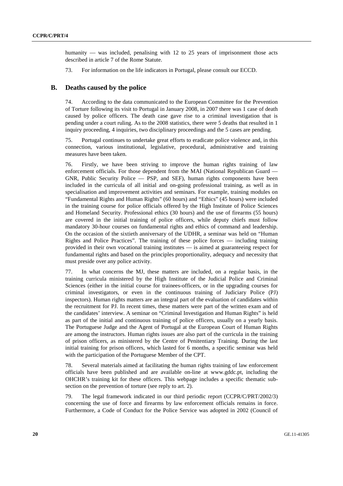humanity — was included, penalising with 12 to 25 years of imprisonment those acts described in article 7 of the Rome Statute.

73. For information on the life indicators in Portugal, please consult our ECCD.

#### **B. Deaths caused by the police**

74. According to the data communicated to the European Committee for the Prevention of Torture following its visit to Portugal in January 2008, in 2007 there was 1 case of death caused by police officers. The death case gave rise to a criminal investigation that is pending under a court ruling. As to the 2008 statistics, there were 5 deaths that resulted in 1 inquiry proceeding, 4 inquiries, two disciplinary proceedings and the 5 cases are pending.

75. Portugal continues to undertake great efforts to eradicate police violence and, in this connection, various institutional, legislative, procedural, administrative and training measures have been taken.

76. Firstly, we have been striving to improve the human rights training of law enforcement officials. For those dependent from the MAI (National Republican Guard — GNR, Public Security Police — PSP, and SEF), human rights components have been included in the curricula of all initial and on-going professional training, as well as in specialisation and improvement activities and seminars. For example, training modules on "Fundamental Rights and Human Rights" (60 hours) and "Ethics" (45 hours) were included in the training course for police officials offered by the High Institute of Police Sciences and Homeland Security. Professional ethics (30 hours) and the use of firearms (55 hours) are covered in the initial training of police officers, while deputy chiefs must follow mandatory 30-hour courses on fundamental rights and ethics of command and leadership. On the occasion of the sixtieth anniversary of the UDHR, a seminar was held on "Human Rights and Police Practices". The training of these police forces — including training provided in their own vocational training institutes — is aimed at guaranteeing respect for fundamental rights and based on the principles proportionality, adequacy and necessity that must preside over any police activity.

77. In what concerns the MJ, these matters are included, on a regular basis, in the training curricula ministered by the High Institute of the Judicial Police and Criminal Sciences (either in the initial course for trainees-officers, or in the upgrading courses for criminal investigators, or even in the continuous training of Judiciary Police (PJ) inspectors). Human rights matters are an integral part of the evaluation of candidates within the recruitment for PJ. In recent times, these matters were part of the written exam and of the candidates' interview. A seminar on "Criminal Investigation and Human Rights" is held as part of the initial and continuous training of police officers, usually on a yearly basis. The Portuguese Judge and the Agent of Portugal at the European Court of Human Rights are among the instructors. Human rights issues are also part of the curricula in the training of prison officers, as ministered by the Centre of Penitentiary Training. During the last initial training for prison officers, which lasted for 6 months, a specific seminar was held with the participation of the Portuguese Member of the CPT.

78. Several materials aimed at facilitating the human rights training of law enforcement officials have been published and are available on-line at www.gddc.pt, including the OHCHR's training kit for these officers. This webpage includes a specific thematic subsection on the prevention of torture (see reply to art. 2).

79. The legal framework indicated in our third periodic report (CCPR/C/PRT/2002/3) concerning the use of force and firearms by law enforcement officials remains in force. Furthermore, a Code of Conduct for the Police Service was adopted in 2002 (Council of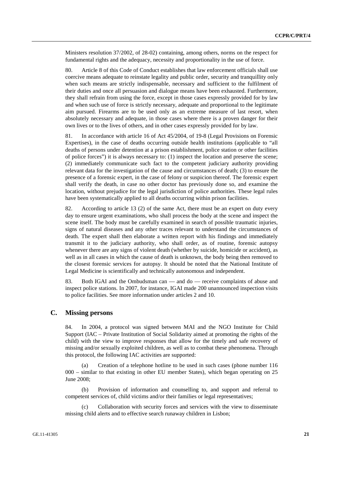Ministers resolution 37/2002, of 28-02) containing, among others, norms on the respect for fundamental rights and the adequacy, necessity and proportionality in the use of force.

80. Article 8 of this Code of Conduct establishes that law enforcement officials shall use coercive means adequate to reinstate legality and public order, security and tranquillity only when such means are strictly indispensable, necessary and sufficient to the fulfilment of their duties and once all persuasion and dialogue means have been exhausted. Furthermore, they shall refrain from using the force, except in those cases expressly provided for by law and when such use of force is strictly necessary, adequate and proportional to the legitimate aim pursued. Firearms are to be used only as an extreme measure of last resort, when absolutely necessary and adequate, in those cases where there is a proven danger for their own lives or to the lives of others, and in other cases expressly provided for by law.

81. In accordance with article 16 of Act 45/2004, of 19-8 (Legal Provisions on Forensic Expertises), in the case of deaths occurring outside health institutions (applicable to "all deaths of persons under detention at a prison establishment, police station or other facilities of police forces") it is always necessary to: (1) inspect the location and preserve the scene; (2) immediately communicate such fact to the competent judiciary authority providing relevant data for the investigation of the cause and circumstances of death; (3) to ensure the presence of a forensic expert, in the case of felony or suspicion thereof. The forensic expert shall verify the death, in case no other doctor has previously done so, and examine the location, without prejudice for the legal jurisdiction of police authorities. These legal rules have been systematically applied to all deaths occurring within prison facilities.

82. According to article 13 (2) of the same Act, there must be an expert on duty every day to ensure urgent examinations, who shall process the body at the scene and inspect the scene itself. The body must be carefully examined in search of possible traumatic injuries, signs of natural diseases and any other traces relevant to understand the circumstances of death. The expert shall then elaborate a written report with his findings and immediately transmit it to the judiciary authority, who shall order, as of routine, forensic autopsy whenever there are any signs of violent death (whether by suicide, homicide or accident), as well as in all cases in which the cause of death is unknown, the body being then removed to the closest forensic services for autopsy. It should be noted that the National Institute of Legal Medicine is scientifically and technically autonomous and independent.

83. Both IGAI and the Ombudsman can — and do — receive complaints of abuse and inspect police stations. In 2007, for instance, IGAI made 200 unannounced inspection visits to police facilities. See more information under articles 2 and 10.

#### **C. Missing persons**

84. In 2004, a protocol was signed between MAI and the NGO Institute for Child Support (IAC – Private Institution of Social Solidarity aimed at promoting the rights of the child) with the view to improve responses that allow for the timely and safe recovery of missing and/or sexually exploited children, as well as to combat these phenomena. Through this protocol, the following IAC activities are supported:

 (a) Creation of a telephone hotline to be used in such cases (phone number 116 000 – similar to that existing in other EU member States), which began operating on 25 June 2008;

 (b) Provision of information and counselling to, and support and referral to competent services of, child victims and/or their families or legal representatives;

Collaboration with security forces and services with the view to disseminate missing child alerts and to effective search runaway children in Lisbon;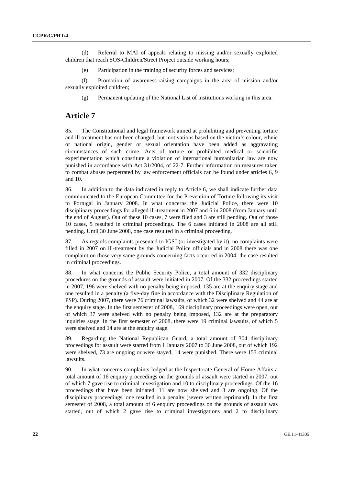(d) Referral to MAI of appeals relating to missing and/or sexually exploited children that reach SOS-Children/Street Project outside working hours;

(e) Participation in the training of security forces and services;

 (f) Promotion of awareness-raising campaigns in the area of mission and/or sexually exploited children;

(g) Permanent updating of the National List of institutions working in this area.

# **Article 7**

85. The Constitutional and legal framework aimed at prohibiting and preventing torture and ill treatment has not been changed, but motivations based on the victim's colour, ethnic or national origin, gender or sexual orientation have been added as aggravating circumstances of such crime. Acts of torture or prohibited medical or scientific experimentation which constitute a violation of international humanitarian law are now punished in accordance with Act 31/2004, of 22-7. Further information on measures taken to combat abuses perpetrated by law enforcement officials can be found under articles 6, 9 and 10.

86. In addition to the data indicated in reply to Article 6, we shall indicate further data communicated to the European Committee for the Prevention of Torture following its visit to Portugal in January 2008. In what concerns the Judicial Police, there were 10 disciplinary proceedings for alleged ill-treatment in 2007 and 6 in 2008 (from January until the end of August). Out of these 10 cases, 7 were filed and 3 are still pending. Out of those 10 cases, 5 resulted in criminal proceedings. The 6 cases initiated in 2008 are all still pending. Until 30 June 2008, one case resulted in a criminal proceeding.

87. As regards complaints presented to IGSJ (or investigated by it), no complaints were filled in 2007 on ill-treatment by the Judicial Police officials and in 2008 there was one complaint on those very same grounds concerning facts occurred in 2004; the case resulted in criminal proceedings.

88. In what concerns the Public Security Police, a total amount of 332 disciplinary procedures on the grounds of assault were initiated in 2007. Of the 332 proceedings started in 2007, 196 were shelved with no penalty being imposed, 135 are at the enquiry stage and one resulted in a penalty (a five-day fine in accordance with the Disciplinary Regulation of PSP). During 2007, there were 76 criminal lawsuits, of which 32 were shelved and 44 are at the enquiry stage. In the first semester of 2008, 169 disciplinary proceedings were open, out of which 37 were shelved with no penalty being imposed, 132 are at the preparatory inquiries stage. In the first semester of 2008, there were 19 criminal lawsuits, of which 5 were shelved and 14 are at the enquiry stage.

89. Regarding the National Republican Guard, a total amount of 304 disciplinary proceedings for assault were started from 1 January 2007 to 30 June 2008, out of which 192 were shelved, 73 are ongoing or were stayed, 14 were punished. There were 153 criminal lawsuits.

90. In what concerns complaints lodged at the Inspectorate General of Home Affairs a total amount of 16 enquiry proceedings on the grounds of assault were started in 2007, out of which 7 gave rise to criminal investigation and 10 to disciplinary proceedings. Of the 16 proceedings that have been initiated, 11 are now shelved and 3 are ongoing. Of the disciplinary proceedings, one resulted in a penalty (severe written reprimand). In the first semester of 2008, a total amount of 6 enquiry proceedings on the grounds of assault was started, out of which 2 gave rise to criminal investigations and 2 to disciplinary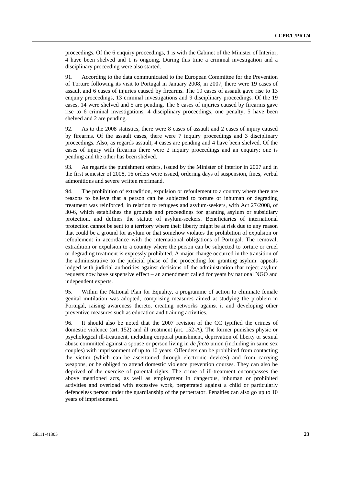proceedings. Of the 6 enquiry proceedings, 1 is with the Cabinet of the Minister of Interior, 4 have been shelved and 1 is ongoing. During this time a criminal investigation and a disciplinary proceeding were also started.

91. According to the data communicated to the European Committee for the Prevention of Torture following its visit to Portugal in January 2008, in 2007, there were 19 cases of assault and 6 cases of injuries caused by firearms. The 19 cases of assault gave rise to 13 enquiry proceedings, 13 criminal investigations and 9 disciplinary proceedings. Of the 19 cases, 14 were shelved and 5 are pending. The 6 cases of injuries caused by firearms gave rise to 6 criminal investigations, 4 disciplinary proceedings, one penalty, 5 have been shelved and 2 are pending.

92. As to the 2008 statistics, there were 8 cases of assault and 2 cases of injury caused by firearms. Of the assault cases, there were 7 inquiry proceedings and 3 disciplinary proceedings. Also, as regards assault, 4 cases are pending and 4 have been shelved. Of the cases of injury with firearms there were 2 inquiry proceedings and an enquiry; one is pending and the other has been shelved.

93. As regards the punishment orders, issued by the Minister of Interior in 2007 and in the first semester of 2008, 16 orders were issued, ordering days of suspension, fines, verbal admonitions and severe written reprimand.

94. The prohibition of extradition, expulsion or refoulement to a country where there are reasons to believe that a person can be subjected to torture or inhuman or degrading treatment was reinforced, in relation to refugees and asylum-seekers, with Act 27/2008, of 30-6, which establishes the grounds and proceedings for granting asylum or subsidiary protection, and defines the statute of asylum-seekers. Beneficiaries of international protection cannot be sent to a territory where their liberty might be at risk due to any reason that could be a ground for asylum or that somehow violates the prohibition of expulsion or refoulement in accordance with the international obligations of Portugal. The removal, extradition or expulsion to a country where the person can be subjected to torture or cruel or degrading treatment is expressly prohibited. A major change occurred in the transition of the administrative to the judicial phase of the proceeding for granting asylum: appeals lodged with judicial authorities against decisions of the administration that reject asylum requests now have suspensive effect – an amendment called for years by national NGO and independent experts.

95. Within the National Plan for Equality, a programme of action to eliminate female genital mutilation was adopted, comprising measures aimed at studying the problem in Portugal, raising awareness thereto, creating networks against it and developing other preventive measures such as education and training activities.

96. It should also be noted that the 2007 revision of the CC typified the crimes of domestic violence (art. 152) and ill treatment (art. 152-A). The former punishes physic or psychological ill-treatment, including corporal punishment, deprivation of liberty or sexual abuse committed against a spouse or person living in *de facto* union (including in same sex couples) with imprisonment of up to 10 years. Offenders can be prohibited from contacting the victim (which can be ascertained through electronic devices) and from carrying weapons, or be obliged to attend domestic violence prevention courses. They can also be deprived of the exercise of parental rights. The crime of ill-treatment encompasses the above mentioned acts, as well as employment in dangerous, inhuman or prohibited activities and overload with excessive work, perpetrated against a child or particularly defenceless person under the guardianship of the perpetrator. Penalties can also go up to 10 years of imprisonment.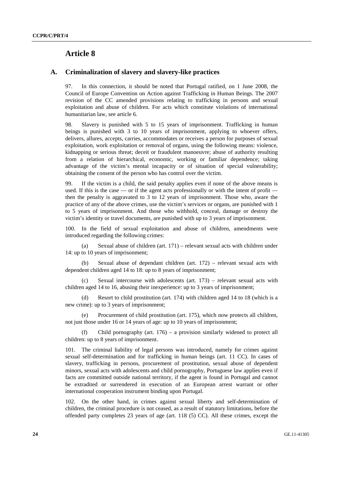# **Article 8**

### **A. Criminalization of slavery and slavery-like practices**

97. In this connection, it should be noted that Portugal ratified, on 1 June 2008, the Council of Europe Convention on Action against Trafficking in Human Beings. The 2007 revision of the CC amended provisions relating to trafficking in persons and sexual exploitation and abuse of children. For acts which constitute violations of international humanitarian law, see article 6.

98. Slavery is punished with 5 to 15 years of imprisonment. Trafficking in human beings is punished with 3 to 10 years of imprisonment, applying to whoever offers, delivers, allures, accepts, carries, accommodates or receives a person for purposes of sexual exploitation, work exploitation or removal of organs, using the following means: violence, kidnapping or serious threat; deceit or fraudulent manoeuvre; abuse of authority resulting from a relation of hierarchical, economic, working or familiar dependence; taking advantage of the victim's mental incapacity or of situation of special vulnerability; obtaining the consent of the person who has control over the victim.

99. If the victim is a child, the said penalty applies even if none of the above means is used. If this is the case — or if the agent acts professionally or with the intent of profit then the penalty is aggravated to 3 to 12 years of imprisonment. Those who, aware the practice of any of the above crimes, use the victim's services or organs, are punished with 1 to 5 years of imprisonment. And those who withhold, conceal, damage or destroy the victim's identity or travel documents, are punished with up to 3 years of imprisonment.

100. In the field of sexual exploitation and abuse of children, amendments were introduced regarding the following crimes:

 (a) Sexual abuse of children (art. 171) – relevant sexual acts with children under 14: up to 10 years of imprisonment;

 (b) Sexual abuse of dependant children (art. 172) – relevant sexual acts with dependent children aged 14 to 18: up to 8 years of imprisonment;

Sexual intercourse with adolescents (art.  $173$ ) – relevant sexual acts with children aged 14 to 16, abusing their inexperience: up to 3 years of imprisonment;

 (d) Resort to child prostitution (art. 174) with children aged 14 to 18 (which is a new crime): up to 3 years of imprisonment;

 (e) Procurement of child prostitution (art. 175), which now protects all children, not just those under 16 or 14 years of age: up to 10 years of imprisonment;

Child pornography (art.  $176$ ) – a provision similarly widened to protect all children: up to 8 years of imprisonment.

101. The criminal liability of legal persons was introduced, namely for crimes against sexual self-determination and for trafficking in human beings (art. 11 CC). In cases of slavery, trafficking in persons, procurement of prostitution, sexual abuse of dependent minors, sexual acts with adolescents and child pornography, Portuguese law applies even if facts are committed outside national territory, if the agent is found in Portugal and cannot be extradited or surrendered in execution of an European arrest warrant or other international cooperation instrument binding upon Portugal.

102. On the other hand, in crimes against sexual liberty and self-determination of children, the criminal procedure is not ceased, as a result of statutory limitations, before the offended party completes 23 years of age (art. 118 (5) CC). All these crimes, except the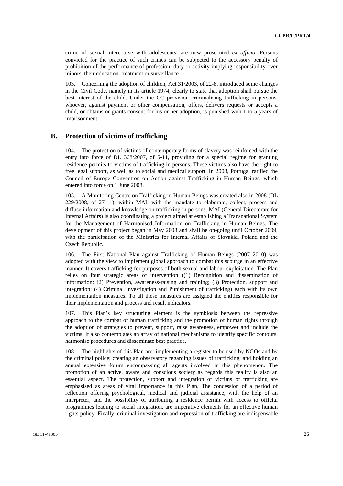crime of sexual intercourse with adolescents, are now prosecuted *ex officio*. Persons convicted for the practice of such crimes can be subjected to the accessory penalty of prohibition of the performance of profession, duty or activity implying responsibility over minors, their education, treatment or surveillance.

Concerning the adoption of children, Act  $31/2003$ , of 22-8, introduced some changes in the Civil Code, namely in its article 1974, clearly to state that adoption shall pursue the best interest of the child. Under the CC provision criminalising trafficking in persons, whoever, against payment or other compensation, offers, delivers requests or accepts a child, or obtains or grants consent for his or her adoption, is punished with 1 to 5 years of imprisonment.

### **B. Protection of victims of trafficking**

104. The protection of victims of contemporary forms of slavery was reinforced with the entry into force of DL 368/2007, of 5-11, providing for a special regime for granting residence permits to victims of trafficking in persons. These victims also have the right to free legal support, as well as to social and medical support. In 2008, Portugal ratified the Council of Europe Convention on Action against Trafficking in Human Beings, which entered into force on 1 June 2008.

105. A Monitoring Centre on Trafficking in Human Beings was created also in 2008 (DL 229/2008, of 27-11), within MAI, with the mandate to elaborate, collect, process and diffuse information and knowledge on trafficking in persons. MAI (General Directorate for Internal Affairs) is also coordinating a project aimed at establishing a Transnational System for the Management of Harmonised Information on Trafficking in Human Beings. The development of this project began in May 2008 and shall be on-going until October 2009, with the participation of the Ministries for Internal Affairs of Slovakia, Poland and the Czech Republic.

106. The First National Plan against Trafficking of Human Beings (2007–2010) was adopted with the view to implement global approach to combat this scourge in an effective manner. It covers trafficking for purposes of both sexual and labour exploitation. The Plan relies on four strategic areas of intervention ((1) Recognition and dissemination of information; (2) Prevention, awareness-raising and training; (3) Protection, support and integration; (4) Criminal Investigation and Punishment of trafficking) each with its own implementation measures. To all these measures are assigned the entities responsible for their implementation and process and result indicators.

107. This Plan's key structuring element is the symbiosis between the repressive approach to the combat of human trafficking and the promotion of human rights through the adoption of strategies to prevent, support, raise awareness, empower and include the victims. It also contemplates an array of national mechanisms to identify specific contours, harmonise procedures and disseminate best practice.

108. The highlights of this Plan are: implementing a register to be used by NGOs and by the criminal police; creating an observatory regarding issues of trafficking; and holding an annual extensive forum encompassing all agents involved in this phenomenon. The promotion of an active, aware and conscious society as regards this reality is also an essential aspect. The protection, support and integration of victims of trafficking are emphasised as areas of vital importance in this Plan. The concession of a period of reflection offering psychological, medical and judicial assistance, with the help of an interpreter, and the possibility of attributing a residence permit with access to official programmes leading to social integration, are imperative elements for an effective human rights policy. Finally, criminal investigation and repression of trafficking are indispensable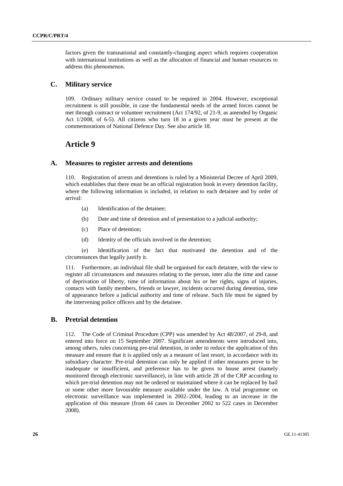factors given the transnational and constantly-changing aspect which requires cooperation with international institutions as well as the allocation of financial and human resources to address this phenomenon.

# **C. Military service**

109. Ordinary military service ceased to be required in 2004. However, exceptional recruitment is still possible, in case the fundamental needs of the armed forces cannot be met through contract or volunteer recruitment (Act 174/92, of 21-9, as amended by Organic Act 1/2008, of 6-5). All citizens who turn 18 in a given year must be present at the commemorations of National Defence Day. See also article 18.

# **Article 9**

#### **A. Measures to register arrests and detentions**

110. Registration of arrests and detentions is ruled by a Ministerial Decree of April 2009, which establishes that there must be an official registration book in every detention facility, where the following information is included, in relation to each detainee and by order of arrival:

- (a) Identification of the detainee;
- (b) Date and time of detention and of presentation to a judicial authority;
- (c) Place of detention;
- (d) Identity of the officials involved in the detention;

 (e) Identification of the fact that motivated the detention and of the circumstances that legally justify it.

111. Furthermore, an individual file shall be organised for each detainee, with the view to register all circumstances and measures relating to the person, inter alia the time and cause of deprivation of liberty, time of information about his or her rights, signs of injuries, contacts with family members, friends or lawyer, incidents occurred during detention, time of appearance before a judicial authority and time of release. Such file must be signed by the intervening police officers and by the detainee.

# **B. Pretrial detention**

112. The Code of Criminal Procedure (CPP) was amended by Act 48/2007, of 29-8, and entered into force on 15 September 2007. Significant amendments were introduced into, among others, rules concerning pre-trial detention, in order to reduce the application of this measure and ensure that it is applied only as a measure of last resort, in accordance with its subsidiary character. Pre-trial detention can only be applied if other measures prove to be inadequate or insufficient, and preference has to be given to house arrest (namely monitored through electronic surveillance), in line with article 28 of the CRP according to which pre-trial detention may not be ordered or maintained where it can be replaced by bail or some other more favourable measure available under the law. A trial programme on electronic surveillance was implemented in 2002–2004, leading to an increase in the application of this measure (from 44 cases in December 2002 to 522 cases in December 2008).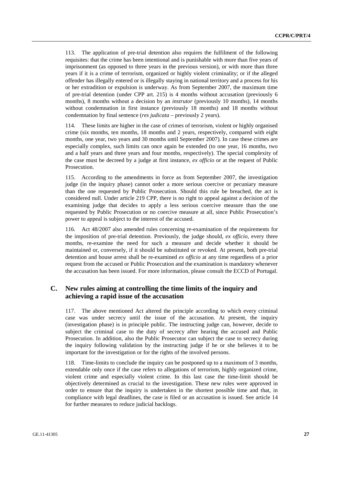113. The application of pre-trial detention also requires the fulfilment of the following requisites: that the crime has been intentional and is punishable with more than five years of imprisonment (as opposed to three years in the previous version), or with more than three years if it is a crime of terrorism, organized or highly violent criminality; or if the alleged offender has illegally entered or is illegally staying in national territory and a process for his or her extradition or expulsion is underway. As from September 2007, the maximum time of pre-trial detention (under CPP art. 215) is 4 months without accusation (previously 6 months), 8 months without a decision by an *instrutor* (previously 10 months), 14 months without condemnation in first instance (previously 18 months) and 18 months without condemnation by final sentence (*res judicata* – previously 2 years).

114. These limits are higher in the case of crimes of terrorism, violent or highly organised crime (six months, ten months, 18 months and 2 years, respectively, compared with eight months, one year, two years and 30 months until September 2007). In case these crimes are especially complex, such limits can once again be extended (to one year, 16 months, two and a half years and three years and four months, respectively). The special complexity of the case must be decreed by a judge at first instance, *ex officio* or at the request of Public Prosecution.

115. According to the amendments in force as from September 2007, the investigation judge (in the inquiry phase) cannot order a more serious coercive or pecuniary measure than the one requested by Public Prosecution. Should this rule be breached, the act is considered null. Under article 219 CPP, there is no right to appeal against a decision of the examining judge that decides to apply a less serious coercive measure than the one requested by Public Prosecution or no coercive measure at all, since Public Prosecution's power to appeal is subject to the interest of the accused.

116. Act 48/2007 also amended rules concerning re-examination of the requirements for the imposition of pre-trial detention. Previously, the judge should, *ex officio*, every three months, re-examine the need for such a measure and decide whether it should be maintained or, conversely, if it should be substituted or revoked. At present, both pre-trial detention and house arrest shall be re-examined *ex officio* at any time regardless of a prior request from the accused or Public Prosecution and the examination is mandatory whenever the accusation has been issued. For more information, please consult the ECCD of Portugal.

# **C. New rules aiming at controlling the time limits of the inquiry and achieving a rapid issue of the accusation**

117. The above mentioned Act altered the principle according to which every criminal case was under secrecy until the issue of the accusation. At present, the inquiry (investigation phase) is in principle public. The instructing judge can, however, decide to subject the criminal case to the duty of secrecy after hearing the accused and Public Prosecution. In addition, also the Public Prosecutor can subject the case to secrecy during the inquiry following validation by the instructing judge if he or she believes it to be important for the investigation or for the rights of the involved persons.

118. Time-limits to conclude the inquiry can be postponed up to a maximum of 3 months, extendable only once if the case refers to allegations of terrorism, highly organized crime, violent crime and especially violent crime. In this last case the time-limit should be objectively determined as crucial to the investigation. These new rules were approved in order to ensure that the inquiry is undertaken in the shortest possible time and that, in compliance with legal deadlines, the case is filed or an accusation is issued. See article 14 for further measures to reduce judicial backlogs.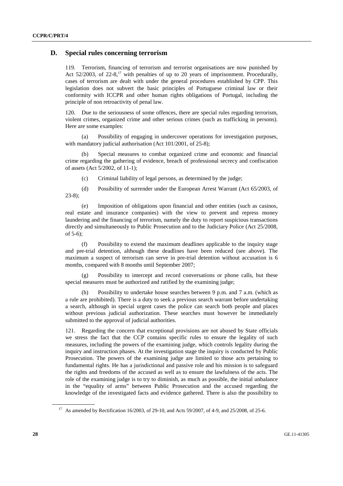## **D. Special rules concerning terrorism**

119. Terrorism, financing of terrorism and terrorist organisations are now punished by Act  $52/2003$ , of  $22-8$ ,<sup>17</sup> with penalties of up to 20 years of imprisonment. Procedurally, cases of terrorism are dealt with under the general procedures established by CPP. This legislation does not subvert the basic principles of Portuguese criminal law or their conformity with ICCPR and other human rights obligations of Portugal, including the principle of non retroactivity of penal law.

120. Due to the seriousness of some offences, there are special rules regarding terrorism, violent crimes, organized crime and other serious crimes (such as trafficking in persons). Here are some examples:

 (a) Possibility of engaging in undercover operations for investigation purposes, with mandatory judicial authorisation (Act 101/2001, of 25-8);

Special measures to combat organized crime and economic and financial crime regarding the gathering of evidence, breach of professional secrecy and confiscation of assets (Act 5/2002, of 11-1);

(c) Criminal liability of legal persons, as determined by the judge;

 (d) Possibility of surrender under the European Arrest Warrant (Act 65/2003, of 23-8);

 (e) Imposition of obligations upon financial and other entities (such as casinos, real estate and insurance companies) with the view to prevent and repress money laundering and the financing of terrorism, namely the duty to report suspicious transactions directly and simultaneously to Public Prosecution and to the Judiciary Police (Act 25/2008, of 5-6);

 (f) Possibility to extend the maximum deadlines applicable to the inquiry stage and pre-trial detention, although these deadlines have been reduced (see above). The maximum a suspect of terrorism can serve in pre-trial detention without accusation is 6 months, compared with 8 months until September 2007;

 (g) Possibility to intercept and record conversations or phone calls, but these special measures must be authorized and ratified by the examining judge;

 (h) Possibility to undertake house searches between 9 p.m. and 7 a.m. (which as a rule are prohibited). There is a duty to seek a previous search warrant before undertaking a search, although in special urgent cases the police can search both people and places without previous judicial authorization. These searches must however be immediately submitted to the approval of judicial authorities.

121. Regarding the concern that exceptional provisions are not abused by State officials we stress the fact that the CCP contains specific rules to ensure the legality of such measures, including the powers of the examining judge, which controls legality during the inquiry and instruction phases. At the investigation stage the inquiry is conducted by Public Prosecution. The powers of the examining judge are limited to those acts pertaining to fundamental rights. He has a jurisdictional and passive role and his mission is to safeguard the rights and freedoms of the accused as well as to ensure the lawfulness of the acts. The role of the examining judge is to try to diminish, as much as possible, the initial unbalance in the "equality of arms" between Public Prosecution and the accused regarding the knowledge of the investigated facts and evidence gathered. There is also the possibility to

<sup>&</sup>lt;sup>17</sup> As amended by Rectification 16/2003, of 29-10, and Acts 59/2007, of 4-9, and 25/2008, of 25-6.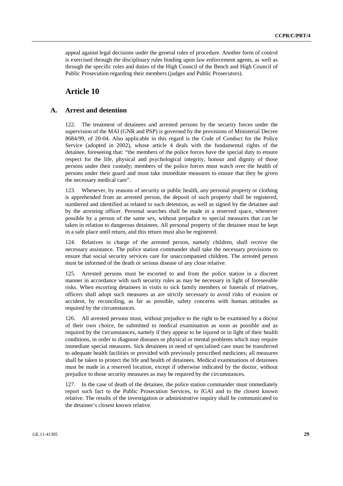appeal against legal decisions under the general rules of procedure. Another form of control is exercised through the disciplinary rules binding upon law enforcement agents, as well as through the specific roles and duties of the High Council of the Bench and High Council of Public Prosecution regarding their members (judges and Public Prosecutors).

# **Article 10**

### **A. Arrest and detention**

122. The treatment of detainees and arrested persons by the security forces under the supervision of the MAI (GNR and PSP) is governed by the provisions of Ministerial Decree 8684/99, of 20-04. Also applicable in this regard is the Code of Conduct for the Police Service (adopted in 2002), whose article 4 deals with the fundamental rights of the detainee, foreseeing that: "the members of the police forces have the special duty to ensure respect for the life, physical and psychological integrity, honour and dignity of those persons under their custody; members of the police forces must watch over the health of persons under their guard and must take immediate measures to ensure that they be given the necessary medical care".

123. Whenever, by reasons of security or public health, any personal property or clothing is apprehended from an arrested person, the deposit of such property shall be registered, numbered and identified as related to such detention, as well as signed by the detainee and by the arresting officer. Personal searches shall be made in a reserved space, whenever possible by a person of the same sex, without prejudice to special measures that can be taken in relation to dangerous detainees. All personal property of the detainee must be kept in a safe place until return, and this return must also be registered.

124. Relatives in charge of the arrested person, namely children, shall receive the necessary assistance. The police station commander shall take the necessary provisions to ensure that social security services care for unaccompanied children. The arrested person must be informed of the death or serious disease of any close relative.

125. Arrested persons must be escorted to and from the police station in a discreet manner in accordance with such security rules as may be necessary in light of foreseeable risks. When escorting detainees in visits to sick family members or funerals of relatives, officers shall adopt such measures as are strictly necessary to avoid risks of evasion or accident, by reconciling, as far as possible, safety concerns with human attitudes as required by the circumstances.

126. All arrested persons must, without prejudice to the right to be examined by a doctor of their own choice, be submitted to medical examination as soon as possible and as required by the circumstances, namely if they appear to be injured or in light of their health conditions, in order to diagnose diseases or physical or mental problems which may require immediate special measures. Sick detainees in need of specialised care must be transferred to adequate health facilities or provided with previously prescribed medicines; all measures shall be taken to protect the life and health of detainees. Medical examinations of detainees must be made in a reserved location, except if otherwise indicated by the doctor, without prejudice to those security measures as may be required by the circumstances.

127. In the case of death of the detainee, the police station commander must immediately report such fact to the Public Prosecution Services, to IGAI and to the closest known relative. The results of the investigation or administrative inquiry shall be communicated to the detainee's closest known relative.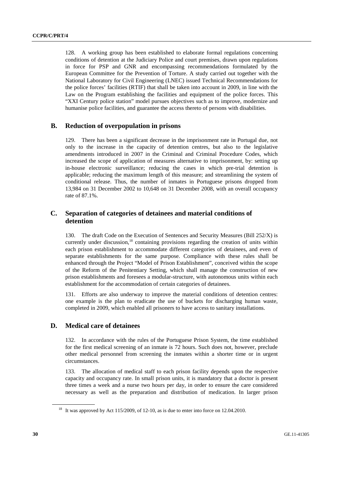128. A working group has been established to elaborate formal regulations concerning conditions of detention at the Judiciary Police and court premises, drawn upon regulations in force for PSP and GNR and encompassing recommendations formulated by the European Committee for the Prevention of Torture. A study carried out together with the National Laboratory for Civil Engineering (LNEC) issued Technical Recommendations for the police forces' facilities (RTIF) that shall be taken into account in 2009, in line with the Law on the Program establishing the facilities and equipment of the police forces. This "XXI Century police station" model pursues objectives such as to improve, modernize and humanise police facilities, and guarantee the access thereto of persons with disabilities.

## **B. Reduction of overpopulation in prisons**

129. There has been a significant decrease in the imprisonment rate in Portugal due, not only to the increase in the capacity of detention centres, but also to the legislative amendments introduced in 2007 in the Criminal and Criminal Procedure Codes, which increased the scope of application of measures alternative to imprisonment, by: setting up in-house electronic surveillance; reducing the cases in which pre-trial detention is applicable; reducing the maximum length of this measure; and streamlining the system of conditional release. Thus, the number of inmates in Portuguese prisons dropped from 13,984 on 31 December 2002 to 10,648 on 31 December 2008, with an overall occupancy rate of 87.1%.

# **C. Separation of categories of detainees and material conditions of detention**

130. The draft Code on the Execution of Sentences and Security Measures (Bill 252/X) is currently under discussion,<sup>18</sup> containing provisions regarding the creation of units within each prison establishment to accommodate different categories of detainees, and even of separate establishments for the same purpose. Compliance with these rules shall be enhanced through the Project "Model of Prison Establishment", conceived within the scope of the Reform of the Penitentiary Setting, which shall manage the construction of new prison establishments and foresees a modular-structure, with autonomous units within each establishment for the accommodation of certain categories of detainees.

131. Efforts are also underway to improve the material conditions of detention centres: one example is the plan to eradicate the use of buckets for discharging human waste, completed in 2009, which enabled all prisoners to have access to sanitary installations.

#### **D. Medical care of detainees**

132. In accordance with the rules of the Portuguese Prison System, the time established for the first medical screening of an inmate is 72 hours. Such does not, however, preclude other medical personnel from screening the inmates within a shorter time or in urgent circumstances.

133. The allocation of medical staff to each prison facility depends upon the respective capacity and occupancy rate. In small prison units, it is mandatory that a doctor is present three times a week and a nurse two hours per day, in order to ensure the care considered necessary as well as the preparation and distribution of medication. In larger prison

<sup>&</sup>lt;sup>18</sup> It was approved by Act 115/2009, of 12-10, as is due to enter into force on 12.04.2010.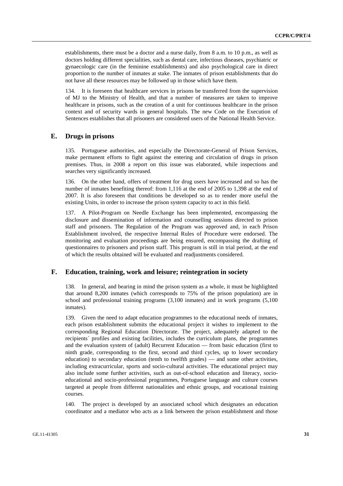establishments, there must be a doctor and a nurse daily, from 8 a.m. to 10 p.m., as well as doctors holding different specialities, such as dental care, infectious diseases, psychiatric or gynaecologic care (in the feminine establishments) and also psychological care in direct proportion to the number of inmates at stake. The inmates of prison establishments that do not have all these resources may be followed up in those which have them.

134. It is foreseen that healthcare services in prisons be transferred from the supervision of MJ to the Ministry of Health, and that a number of measures are taken to improve healthcare in prisons, such as the creation of a unit for continuous healthcare in the prison context and of security wards in general hospitals. The new Code on the Execution of Sentences establishes that all prisoners are considered users of the National Health Service.

### **E. Drugs in prisons**

135. Portuguese authorities, and especially the Directorate-General of Prison Services, make permanent efforts to fight against the entering and circulation of drugs in prison premises. Thus, in 2008 a report on this issue was elaborated, while inspections and searches very significantly increased.

136. On the other hand, offers of treatment for drug users have increased and so has the number of inmates benefiting thereof: from 1,116 at the end of 2005 to 1,398 at the end of 2007. It is also foreseen that conditions be developed so as to render more useful the existing Units, in order to increase the prison system capacity to act in this field.

137. A Pilot-Program on Needle Exchange has been implemented, encompassing the disclosure and dissemination of information and counselling sessions directed to prison staff and prisoners. The Regulation of the Program was approved and, in each Prison Establishment involved, the respective Internal Rules of Procedure were endorsed. The monitoring and evaluation proceedings are being ensured, encompassing the drafting of questionnaires to prisoners and prison staff. This program is still in trial period, at the end of which the results obtained will be evaluated and readjustments considered.

### **F. Education, training, work and leisure; reintegration in society**

138. In general, and bearing in mind the prison system as a whole, it must be highlighted that around 8,200 inmates (which corresponds to 75% of the prison population) are in school and professional training programs (3,100 inmates) and in work programs (5,100 inmates).

139. Given the need to adapt education programmes to the educational needs of inmates, each prison establishment submits the educational project it wishes to implement to the corresponding Regional Education Directorate. The project, adequately adapted to the recipients´ profiles and existing facilities, includes the curriculum plans, the programmes and the evaluation system of (adult) Recurrent Education — from basic education (first to ninth grade, corresponding to the first, second and third cycles, up to lower secondary education) to secondary education (tenth to twelfth grades) — and some other activities, including extracurricular, sports and socio-cultural activities. The educational project may also include some further activities, such as out-of-school education and literacy, socioeducational and socio-professional programmes, Portuguese language and culture courses targeted at people from different nationalities and ethnic groups, and vocational training courses.

140. The project is developed by an associated school which designates an education coordinator and a mediator who acts as a link between the prison establishment and those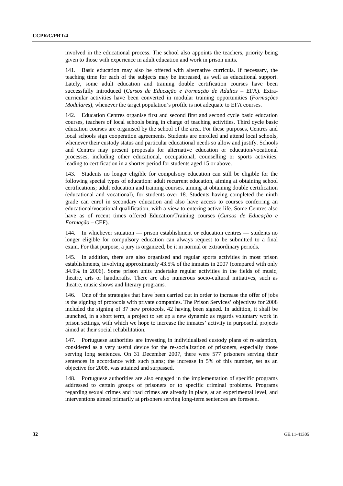involved in the educational process. The school also appoints the teachers, priority being given to those with experience in adult education and work in prison units.

141. Basic education may also be offered with alternative curricula. If necessary, the teaching time for each of the subjects may be increased, as well as educational support. Lately, some adult education and training double certification courses have been successfully introduced (*Cursos de Educação e Formação de Adultos* – EFA). Extracurricular activities have been converted in modular training opportunities (*Formações Modulares*), whenever the target population's profile is not adequate to EFA courses.

142. Education Centres organise first and second first and second cycle basic education courses, teachers of local schools being in charge of teaching activities. Third cycle basic education courses are organised by the school of the area. For these purposes, Centres and local schools sign cooperation agreements. Students are enrolled and attend local schools, whenever their custody status and particular educational needs so allow and justify. Schools and Centres may present proposals for alternative education or education/vocational processes, including other educational, occupational, counselling or sports activities, leading to certification in a shorter period for students aged 15 or above.

143. Students no longer eligible for compulsory education can still be eligible for the following special types of education: adult recurrent education, aiming at obtaining school certifications; adult education and training courses, aiming at obtaining double certification (educational and vocational), for students over 18. Students having completed the ninth grade can enrol in secondary education and also have access to courses conferring an educational/vocational qualification, with a view to entering active life. Some Centres also have as of recent times offered Education/Training courses (*Cursos de Educação e Formação* – CEF).

144. In whichever situation — prison establishment or education centres — students no longer eligible for compulsory education can always request to be submitted to a final exam. For that purpose, a jury is organized, be it in normal or extraordinary periods.

145. In addition, there are also organised and regular sports activities in most prison establishments, involving approximately 43.5% of the inmates in 2007 (compared with only 34.9% in 2006). Some prison units undertake regular activities in the fields of music, theatre, arts or handicrafts. There are also numerous socio-cultural initiatives, such as theatre, music shows and literary programs.

146. One of the strategies that have been carried out in order to increase the offer of jobs is the signing of protocols with private companies. The Prison Services' objectives for 2008 included the signing of 37 new protocols, 42 having been signed. In addition, it shall be launched, in a short term, a project to set up a new dynamic as regards voluntary work in prison settings, with which we hope to increase the inmates' activity in purposeful projects aimed at their social rehabilitation.

147. Portuguese authorities are investing in individualised custody plans of re-adaption, considered as a very useful device for the re-socialization of prisoners, especially those serving long sentences. On 31 December 2007, there were 577 prisoners serving their sentences in accordance with such plans; the increase in 5% of this number, set as an objective for 2008, was attained and surpassed.

148. Portuguese authorities are also engaged in the implementation of specific programs addressed to certain groups of prisoners or to specific criminal problems. Programs regarding sexual crimes and road crimes are already in place, at an experimental level, and interventions aimed primarily at prisoners serving long-term sentences are foreseen.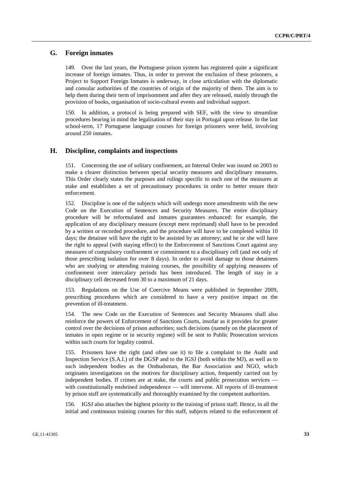# **G. Foreign inmates**

149. Over the last years, the Portuguese prison system has registered quite a significant increase of foreign inmates. Thus, in order to prevent the exclusion of these prisoners, a Project to Support Foreign Inmates is underway, in close articulation with the diplomatic and consular authorities of the countries of origin of the majority of them. The aim is to help them during their term of imprisonment and after they are released, mainly through the provision of books, organisation of socio-cultural events and individual support.

150. In addition, a protocol is being prepared with SEF, with the view to streamline procedures bearing in mind the legalisation of their stay in Portugal upon release. In the last school-term, 17 Portuguese language courses for foreign prisoners were held, involving around 250 inmates.

#### **H. Discipline, complaints and inspections**

151. Concerning the use of solitary confinement, an Internal Order was issued on 2003 to make a clearer distinction between special security measures and disciplinary measures. This Order clearly states the purposes and rulings specific to each one of the measures at stake and establishes a set of precautionary procedures in order to better ensure their enforcement.

152. Discipline is one of the subjects which will undergo more amendments with the new Code on the Execution of Sentences and Security Measures. The entire disciplinary procedure will be reformulated and inmates guarantees enhanced: for example, the application of any disciplinary measure (except mere reprimand) shall have to be preceded by a written or recorded procedure, and the procedure will have to be completed within 10 days; the detainee will have the right to be assisted by an attorney; and he or she will have the right to appeal (with staying effect) to the Enforcement of Sanctions Court against any measures of compulsory confinement or commitment to a disciplinary cell (and not only of those prescribing isolation for over 8 days). In order to avoid damage to those detainees who are studying or attending training courses, the possibility of applying measures of confinement over intercalary periods has been introduced. The length of stay in a disciplinary cell decreased from 30 to a maximum of 21 days.

153. Regulations on the Use of Coercive Means were published in September 2009, prescribing procedures which are considered to have a very positive impact on the prevention of ill-treatment.

154. The new Code on the Execution of Sentences and Security Measures shall also reinforce the powers of Enforcement of Sanctions Courts, insofar as it provides for greater control over the decisions of prison authorities; such decisions (namely on the placement of inmates in open regime or in security regime) will be sent to Public Prosecution services within such courts for legality control.

155. Prisoners have the right (and often use it) to file a complaint to the Audit and Inspection Service (S.A.I.) of the DGSP and to the IGSJ (both within the MJ), as well as to such independent bodies as the Ombudsman, the Bar Association and NGO, which originates investigations on the motives for disciplinary action, frequently carried out by independent bodies. If crimes are at stake, the courts and public prosecution services with constitutionally enshrined independence — will intervene. All reports of ill-treatment by prison staff are systematically and thoroughly examined by the competent authorities.

156. IGSJ also attaches the highest priority to the training of prison staff. Hence, in all the initial and continuous training courses for this staff, subjects related to the enforcement of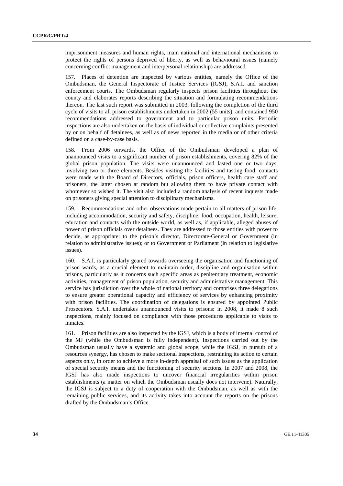imprisonment measures and human rights, main national and international mechanisms to protect the rights of persons deprived of liberty, as well as behavioural issues (namely concerning conflict management and interpersonal relationship) are addressed.

157. Places of detention are inspected by various entities, namely the Office of the Ombudsman, the General Inspectorate of Justice Services (IGSJ), S.A.I. and sanction enforcement courts. The Ombudsman regularly inspects prison facilities throughout the county and elaborates reports describing the situation and formulating recommendations thereon. The last such report was submitted in 2003, following the completion of the third cycle of visits to all prison establishments undertaken in 2002 (55 units), and contained 950 recommendations addressed to government and to particular prison units. Periodic inspections are also undertaken on the basis of individual or collective complaints presented by or on behalf of detainees, as well as of news reported in the media or of other criteria defined on a case-by-case basis.

158. From 2006 onwards, the Office of the Ombudsman developed a plan of unannounced visits to a significant number of prison establishments, covering 82% of the global prison population. The visits were unannounced and lasted one or two days, involving two or three elements. Besides visiting the facilities and tasting food, contacts were made with the Board of Directors, officials, prison officers, health care staff and prisoners, the latter chosen at random but allowing them to have private contact with whomever so wished it. The visit also included a random analysis of recent inquests made on prisoners giving special attention to disciplinary mechanisms.

159. Recommendations and other observations made pertain to all matters of prison life, including accommodation, security and safety, discipline, food, occupation, health, leisure, education and contacts with the outside world, as well as, if applicable, alleged abuses of power of prison officials over detainees. They are addressed to those entities with power to decide, as appropriate: to the prison's director, Directorate-General or Government (in relation to administrative issues); or to Government or Parliament (in relation to legislative issues).

160. S.A.I. is particularly geared towards overseeing the organisation and functioning of prison wards, as a crucial element to maintain order, discipline and organisation within prisons, particularly as it concerns such specific areas as penitentiary treatment, economic activities, management of prison population, security and administrative management. This service has jurisdiction over the whole of national territory and comprises three delegations to ensure greater operational capacity and efficiency of services by enhancing proximity with prison facilities. The coordination of delegations is ensured by appointed Public Prosecutors. S.A.I. undertakes unannounced visits to prisons: in 2008, it made 8 such inspections, mainly focused on compliance with those procedures applicable to visits to inmates.

161. Prison facilities are also inspected by the IGSJ, which is a body of internal control of the MJ (while the Ombudsman is fully independent). Inspections carried out by the Ombudsman usually have a systemic and global scope, while the IGSJ, in pursuit of a resources synergy, has chosen to make sectional inspections, restraining its action to certain aspects only, in order to achieve a more in-depth appraisal of such issues as the application of special security means and the functioning of security sections. In 2007 and 2008, the IGSJ has also made inspections to uncover financial irregularities within prison establishments (a matter on which the Ombudsman usually does not intervene). Naturally, the IGSJ is subject to a duty of cooperation with the Ombudsman, as well as with the remaining public services, and its activity takes into account the reports on the prisons drafted by the Ombudsman's Office.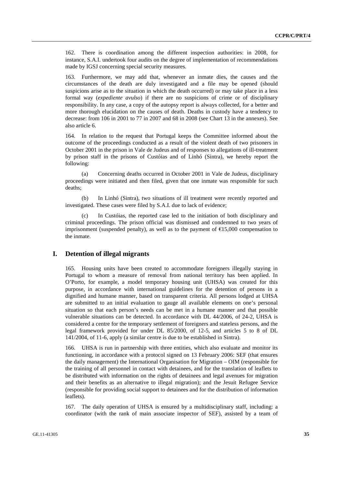162. There is coordination among the different inspection authorities: in 2008, for instance, S.A.I. undertook four audits on the degree of implementation of recommendations made by IGSJ concerning special security measures.

163. Furthermore, we may add that, whenever an inmate dies, the causes and the circumstances of the death are duly investigated and a file may be opened (should suspicions arise as to the situation in which the death occurred) or may take place in a less formal way (*expediente avulso*) if there are no suspicions of crime or of disciplinary responsibility. In any case, a copy of the autopsy report is always collected, for a better and more thorough elucidation on the causes of death. Deaths in custody have a tendency to decrease: from 106 in 2001 to 77 in 2007 and 68 in 2008 (see Chart 13 in the annexes). See also article 6.

164. In relation to the request that Portugal keeps the Committee informed about the outcome of the proceedings conducted as a result of the violent death of two prisoners in October 2001 in the prison in Vale de Judeus and of responses to allegations of ill-treatment by prison staff in the prisons of Custóias and of Linhó (Sintra), we hereby report the following:

 (a) Concerning deaths occurred in October 2001 in Vale de Judeus, disciplinary proceedings were initiated and then filed, given that one inmate was responsible for such deaths;

 (b) In Linhó (Sintra), two situations of ill treatment were recently reported and investigated. These cases were filed by S.A.I. due to lack of evidence;

In Custóias, the reported case led to the initiation of both disciplinary and criminal proceedings. The prison official was dismissed and condemned to two years of imprisonment (suspended penalty), as well as to the payment of  $E15,000$  compensation to the inmate.

#### **I. Detention of illegal migrants**

165. Housing units have been created to accommodate foreigners illegally staying in Portugal to whom a measure of removal from national territory has been applied. In O'Porto, for example, a model temporary housing unit (UHSA) was created for this purpose, in accordance with international guidelines for the detention of persons in a dignified and humane manner, based on transparent criteria. All persons lodged at UHSA are submitted to an initial evaluation to gauge all available elements on one's personal situation so that each person's needs can be met in a humane manner and that possible vulnerable situations can be detected. In accordance with DL 44/2006, of 24-2, UHSA is considered a centre for the temporary settlement of foreigners and stateless persons, and the legal framework provided for under DL 85/2000, of 12-5, and articles 5 to 8 of DL 141/2004, of 11-6, apply (a similar centre is due to be established in Sintra).

166. UHSA is run in partnership with three entities, which also evaluate and monitor its functioning, in accordance with a protocol signed on 13 February 2006: SEF (that ensures the daily management) the International Organisation for Migration – OIM (responsible for the training of all personnel in contact with detainees, and for the translation of leaflets to be distributed with information on the rights of detainees and legal avenues for migration and their benefits as an alternative to illegal migration); and the Jesuit Refugee Service (responsible for providing social support to detainees and for the distribution of information leaflets).

167. The daily operation of UHSA is ensured by a multidisciplinary staff, including: a coordinator (with the rank of main associate inspector of SEF), assisted by a team of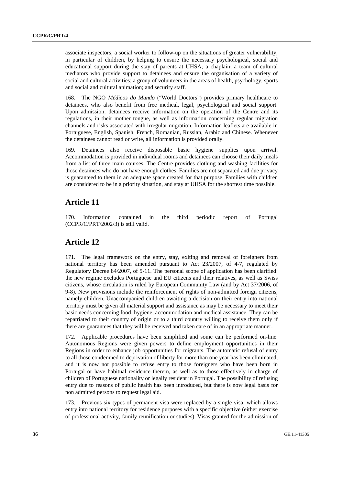associate inspectors; a social worker to follow-up on the situations of greater vulnerability, in particular of children, by helping to ensure the necessary psychological, social and educational support during the stay of parents at UHSA; a chaplain; a team of cultural mediators who provide support to detainees and ensure the organisation of a variety of social and cultural activities; a group of volunteers in the areas of health, psychology, sports and social and cultural animation; and security staff.

168. The NGO *Médicos do Mundo* ("World Doctors") provides primary healthcare to detainees, who also benefit from free medical, legal, psychological and social support. Upon admission, detainees receive information on the operation of the Centre and its regulations, in their mother tongue, as well as information concerning regular migration channels and risks associated with irregular migration. Information leaflets are available in Portuguese, English, Spanish, French, Romanian, Russian, Arabic and Chinese. Whenever the detainees cannot read or write, all information is provided orally.

169. Detainees also receive disposable basic hygiene supplies upon arrival. Accommodation is provided in individual rooms and detainees can choose their daily meals from a list of three main courses. The Centre provides clothing and washing facilities for those detainees who do not have enough clothes. Families are not separated and due privacy is guaranteed to them in an adequate space created for that purpose. Families with children are considered to be in a priority situation, and stay at UHSA for the shortest time possible.

# **Article 11**

170. Information contained in the third periodic report of Portugal (CCPR/C/PRT/2002/3) is still valid.

# **Article 12**

171. The legal framework on the entry, stay, exiting and removal of foreigners from national territory has been amended pursuant to Act 23/2007, of 4-7, regulated by Regulatory Decree 84/2007, of 5-11. The personal scope of application has been clarified: the new regime excludes Portuguese and EU citizens and their relatives, as well as Swiss citizens, whose circulation is ruled by European Community Law (and by Act 37/2006, of 9-8). New provisions include the reinforcement of rights of non-admitted foreign citizens, namely children. Unaccompanied children awaiting a decision on their entry into national territory must be given all material support and assistance as may be necessary to meet their basic needs concerning food, hygiene, accommodation and medical assistance. They can be repatriated to their country of origin or to a third country willing to receive them only if there are guarantees that they will be received and taken care of in an appropriate manner.

172. Applicable procedures have been simplified and some can be performed on-line. Autonomous Regions were given powers to define employment opportunities in their Regions in order to enhance job opportunities for migrants. The automatic refusal of entry to all those condemned to deprivation of liberty for more than one year has been eliminated, and it is now not possible to refuse entry to those foreigners who have been born in Portugal or have habitual residence therein, as well as to those effectively in charge of children of Portuguese nationality or legally resident in Portugal. The possibility of refusing entry due to reasons of public health has been introduced, but there is now legal basis for non admitted persons to request legal aid.

173. Previous six types of permanent visa were replaced by a single visa, which allows entry into national territory for residence purposes with a specific objective (either exercise of professional activity, family reunification or studies). Visas granted for the admission of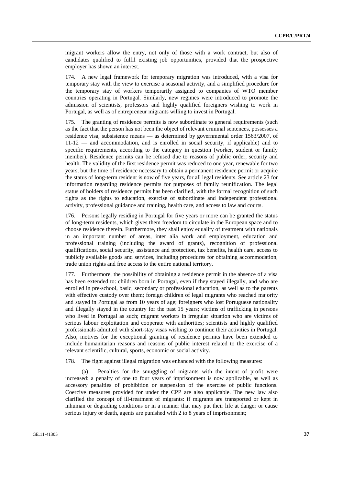migrant workers allow the entry, not only of those with a work contract, but also of candidates qualified to fulfil existing job opportunities, provided that the prospective employer has shown an interest.

174. A new legal framework for temporary migration was introduced, with a visa for temporary stay with the view to exercise a seasonal activity, and a simplified procedure for the temporary stay of workers temporarily assigned to companies of WTO member countries operating in Portugal. Similarly, new regimes were introduced to promote the admission of scientists, professors and highly qualified foreigners wishing to work in Portugal, as well as of entrepreneur migrants willing to invest in Portugal.

175. The granting of residence permits is now subordinate to general requirements (such as the fact that the person has not been the object of relevant criminal sentences, possesses a residence visa, subsistence means — as determined by governmental order 1563/2007, of 11-12 — and accommodation, and is enrolled in social security, if applicable) and to specific requirements, according to the category in question (worker, student or family member). Residence permits can be refused due to reasons of public order, security and health. The validity of the first residence permit was reduced to one year, renewable for two years, but the time of residence necessary to obtain a permanent residence permit or acquire the status of long-term resident is now of five years, for all legal residents. See article 23 for information regarding residence permits for purposes of family reunification. The legal status of holders of residence permits has been clarified, with the formal recognition of such rights as the rights to education, exercise of subordinate and independent professional activity, professional guidance and training, health care, and access to law and courts.

176. Persons legally residing in Portugal for five years or more can be granted the status of long-term residents, which gives them freedom to circulate in the European space and to choose residence therein. Furthermore, they shall enjoy equality of treatment with nationals in an important number of areas, inter alia work and employment, education and professional training (including the award of grants), recognition of professional qualifications, social security, assistance and protection, tax benefits, health care, access to publicly available goods and services, including procedures for obtaining accommodation, trade union rights and free access to the entire national territory.

177. Furthermore, the possibility of obtaining a residence permit in the absence of a visa has been extended to: children born in Portugal, even if they stayed illegally, and who are enrolled in pre-school, basic, secondary or professional education, as well as to the parents with effective custody over them; foreign children of legal migrants who reached majority and stayed in Portugal as from 10 years of age; foreigners who lost Portuguese nationality and illegally stayed in the country for the past 15 years; victims of trafficking in persons who lived in Portugal as such; migrant workers in irregular situation who are victims of serious labour exploitation and cooperate with authorities; scientists and highly qualified professionals admitted with short-stay visas wishing to continue their activities in Portugal. Also, motives for the exceptional granting of residence permits have been extended to include humanitarian reasons and reasons of public interest related to the exercise of a relevant scientific, cultural, sports, economic or social activity.

178. The fight against illegal migration was enhanced with the following measures:

 (a) Penalties for the smuggling of migrants with the intent of profit were increased: a penalty of one to four years of imprisonment is now applicable, as well as accessory penalties of prohibition or suspension of the exercise of public functions. Coercive measures provided for under the CPP are also applicable. The new law also clarified the concept of ill-treatment of migrants: if migrants are transported or kept in inhuman or degrading conditions or in a manner that may put their life at danger or cause serious injury or death, agents are punished with 2 to 8 years of imprisonment;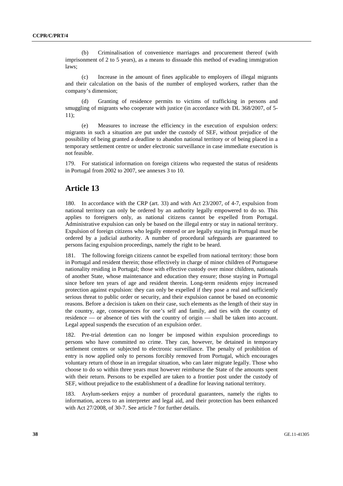(b) Criminalisation of convenience marriages and procurement thereof (with imprisonment of 2 to 5 years), as a means to dissuade this method of evading immigration laws;

 (c) Increase in the amount of fines applicable to employers of illegal migrants and their calculation on the basis of the number of employed workers, rather than the company's dimension;

 (d) Granting of residence permits to victims of trafficking in persons and smuggling of migrants who cooperate with justice (in accordance with DL 368/2007, of 5-11);

 (e) Measures to increase the efficiency in the execution of expulsion orders: migrants in such a situation are put under the custody of SEF, without prejudice of the possibility of being granted a deadline to abandon national territory or of being placed in a temporary settlement centre or under electronic surveillance in case immediate execution is not feasible.

179. For statistical information on foreign citizens who requested the status of residents in Portugal from 2002 to 2007, see annexes 3 to 10.

# **Article 13**

180. In accordance with the CRP (art. 33) and with Act 23/2007, of 4-7, expulsion from national territory can only be ordered by an authority legally empowered to do so. This applies to foreigners only, as national citizens cannot be expelled from Portugal. Administrative expulsion can only be based on the illegal entry or stay in national territory. Expulsion of foreign citizens who legally entered or are legally staying in Portugal must be ordered by a judicial authority. A number of procedural safeguards are guaranteed to persons facing expulsion proceedings, namely the right to be heard.

181. The following foreign citizens cannot be expelled from national territory: those born in Portugal and resident therein; those effectively in charge of minor children of Portuguese nationality residing in Portugal; those with effective custody over minor children, nationals of another State, whose maintenance and education they ensure; those staying in Portugal since before ten years of age and resident therein. Long-term residents enjoy increased protection against expulsion: they can only be expelled if they pose a real and sufficiently serious threat to public order or security, and their expulsion cannot be based on economic reasons. Before a decision is taken on their case, such elements as the length of their stay in the country, age, consequences for one's self and family, and ties with the country of residence — or absence of ties with the country of origin — shall be taken into account. Legal appeal suspends the execution of an expulsion order.

182. Pre-trial detention can no longer be imposed within expulsion proceedings to persons who have committed no crime. They can, however, be detained in temporary settlement centres or subjected to electronic surveillance. The penalty of prohibition of entry is now applied only to persons forcibly removed from Portugal, which encourages voluntary return of those in an irregular situation, who can later migrate legally. Those who choose to do so within three years must however reimburse the State of the amounts spent with their return. Persons to be expelled are taken to a frontier post under the custody of SEF, without prejudice to the establishment of a deadline for leaving national territory.

183. Asylum-seekers enjoy a number of procedural guarantees, namely the rights to information, access to an interpreter and legal aid, and their protection has been enhanced with Act 27/2008, of 30-7. See article 7 for further details.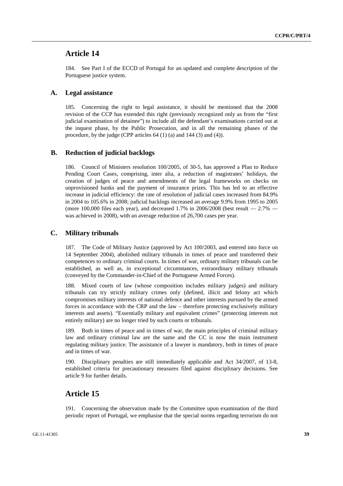# **Article 14**

184. See Part I of the ECCD of Portugal for an updated and complete description of the Portuguese justice system.

### **A. Legal assistance**

185. Concerning the right to legal assistance, it should be mentioned that the 2008 revision of the CCP has extended this right (previously recognized only as from the "first judicial examination of detainee") to include all the defendant's examinations carried out at the inquest phase, by the Public Prosecution, and in all the remaining phases of the procedure, by the judge (CPP articles 64 (1) (a) and 144 (3) and (4)).

#### **B. Reduction of judicial backlogs**

186. Council of Ministers resolution 100/2005, of 30-5, has approved a Plan to Reduce Pending Court Cases, comprising, inter alia, a reduction of magistrates' holidays, the creation of judges of peace and amendments of the legal frameworks on checks on unprovisioned banks and the payment of insurance prizes. This has led to an effective increase in judicial efficiency: the rate of resolution of judicial cases increased from 84.9% in 2004 to 105.6% in 2008; judicial backlogs increased an average 9.9% from 1995 to 2005 (more 100,000 files each year), and decreased 1.7% in 2006/2008 (best result  $-2.7\%$  was achieved in 2008), with an average reduction of 26,700 cases per year.

#### **C. Military tribunals**

187. The Code of Military Justice (approved by Act 100/2003, and entered into force on 14 September 2004), abolished military tribunals in times of peace and transferred their competences to ordinary criminal courts. In times of war, ordinary military tribunals can be established, as well as, in exceptional circumstances, extraordinary military tribunals (conveyed by the Commander-in-Chief of the Portuguese Armed Forces).

188. Mixed courts of law (whose composition includes military judges) and military tribunals can try strictly military crimes only (defined, illicit and felony act which compromises military interests of national defence and other interests pursued by the armed forces in accordance with the CRP and the law – therefore protecting exclusively military interests and assets). "Essentially military and equivalent crimes" (protecting interests not entirely military) are no longer tried by such courts or tribunals.

189. Both in times of peace and in times of war, the main principles of criminal military law and ordinary criminal law are the same and the CC is now the main instrument regulating military justice. The assistance of a lawyer is mandatory, both in times of peace and in times of war.

190. Disciplinary penalties are still immediately applicable and Act 34/2007, of 13-8, established criteria for precautionary measures filed against disciplinary decisions. See article 9 for further details.

# **Article 15**

191. Concerning the observation made by the Committee upon examination of the third periodic report of Portugal, we emphasise that the special norms regarding terrorism do not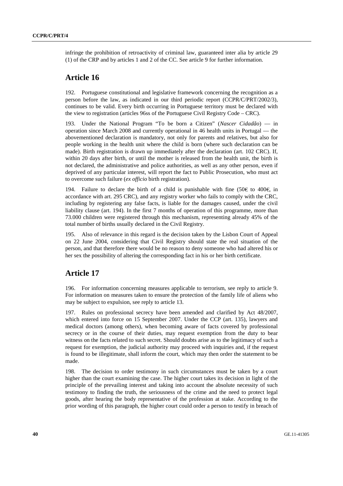infringe the prohibition of retroactivity of criminal law, guaranteed inter alia by article 29 (1) of the CRP and by articles 1 and 2 of the CC. See article 9 for further information.

# **Article 16**

192. Portuguese constitutional and legislative framework concerning the recognition as a person before the law, as indicated in our third periodic report (CCPR/C/PRT/2002/3), continues to be valid. Every birth occurring in Portuguese territory must be declared with the view to registration (articles 96ss of the Portuguese Civil Registry Code – CRC).

193. Under the National Program "To be born a Citizen" (*Nascer Cidadão*) — in operation since March 2008 and currently operational in 46 health units in Portugal — the abovementioned declaration is mandatory, not only for parents and relatives, but also for people working in the health unit where the child is born (where such declaration can be made). Birth registration is drawn up immediately after the declaration (art. 102 CRC). If, within 20 days after birth, or until the mother is released from the health unit, the birth is not declared, the administrative and police authorities, as well as any other person, even if deprived of any particular interest, will report the fact to Public Prosecution, who must act to overcome such failure (*ex officio* birth registration).

194. Failure to declare the birth of a child is punishable with fine (50 $\epsilon$  to 400 $\epsilon$ ), in accordance with art. 295 CRC), and any registry worker who fails to comply with the CRC, including by registering any false facts, is liable for the damages caused, under the civil liability clause (art. 194). In the first 7 months of operation of this programme, more than 73.000 children were registered through this mechanism, representing already 45% of the total number of births usually declared in the Civil Registry.

195. Also of relevance in this regard is the decision taken by the Lisbon Court of Appeal on 22 June 2004, considering that Civil Registry should state the real situation of the person, and that therefore there would be no reason to deny someone who had altered his or her sex the possibility of altering the corresponding fact in his or her birth certificate.

# **Article 17**

196. For information concerning measures applicable to terrorism, see reply to article 9. For information on measures taken to ensure the protection of the family life of aliens who may be subject to expulsion, see reply to article 13.

197. Rules on professional secrecy have been amended and clarified by Act 48/2007, which entered into force on 15 September 2007. Under the CCP (art. 135), lawyers and medical doctors (among others), when becoming aware of facts covered by professional secrecy or in the course of their duties, may request exemption from the duty to bear witness on the facts related to such secret. Should doubts arise as to the legitimacy of such a request for exemption, the judicial authority may proceed with inquiries and, if the request is found to be illegitimate, shall inform the court, which may then order the statement to be made.

198. The decision to order testimony in such circumstances must be taken by a court higher than the court examining the case. The higher court takes its decision in light of the principle of the prevailing interest and taking into account the absolute necessity of such testimony to finding the truth, the seriousness of the crime and the need to protect legal goods, after hearing the body representative of the profession at stake. According to the prior wording of this paragraph, the higher court could order a person to testify in breach of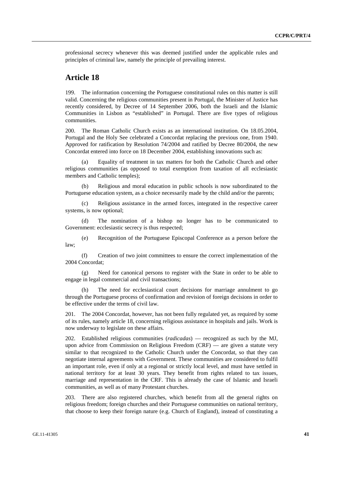professional secrecy whenever this was deemed justified under the applicable rules and principles of criminal law, namely the principle of prevailing interest.

# **Article 18**

199. The information concerning the Portuguese constitutional rules on this matter is still valid. Concerning the religious communities present in Portugal, the Minister of Justice has recently considered, by Decree of 14 September 2006, both the Israeli and the Islamic Communities in Lisbon as "established" in Portugal. There are five types of religious communities.

200. The Roman Catholic Church exists as an international institution. On 18.05.2004, Portugal and the Holy See celebrated a Concordat replacing the previous one, from 1940. Approved for ratification by Resolution 74/2004 and ratified by Decree 80/2004, the new Concordat entered into force on 18 December 2004, establishing innovations such as:

 (a) Equality of treatment in tax matters for both the Catholic Church and other religious communities (as opposed to total exemption from taxation of all ecclesiastic members and Catholic temples);

 (b) Religious and moral education in public schools is now subordinated to the Portuguese education system, as a choice necessarily made by the child and/or the parents;

 (c) Religious assistance in the armed forces, integrated in the respective career systems, is now optional;

 (d) The nomination of a bishop no longer has to be communicated to Government: ecclesiastic secrecy is thus respected;

 (e) Recognition of the Portuguese Episcopal Conference as a person before the law;

 (f) Creation of two joint committees to ensure the correct implementation of the 2004 Concordat;

 (g) Need for canonical persons to register with the State in order to be able to engage in legal commercial and civil transactions;

The need for ecclesiastical court decisions for marriage annulment to go through the Portuguese process of confirmation and revision of foreign decisions in order to be effective under the terms of civil law.

201. The 2004 Concordat, however, has not been fully regulated yet, as required by some of its rules, namely article 18, concerning religious assistance in hospitals and jails. Work is now underway to legislate on these affairs.

202. Established religious communities (*radicadas*) — recognized as such by the MJ, upon advice from Commission on Religious Freedom (CRF) — are given a statute very similar to that recognized to the Catholic Church under the Concordat, so that they can negotiate internal agreements with Government. These communities are considered to fulfil an important role, even if only at a regional or strictly local level, and must have settled in national territory for at least 30 years. They benefit from rights related to tax issues, marriage and representation in the CRF. This is already the case of Islamic and Israeli communities, as well as of many Protestant churches.

203. There are also registered churches, which benefit from all the general rights on religious freedom; foreign churches and their Portuguese communities on national territory, that choose to keep their foreign nature (e.g. Church of England), instead of constituting a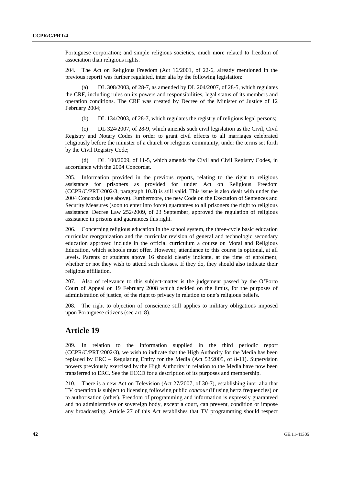Portuguese corporation; and simple religious societies, much more related to freedom of association than religious rights.

204. The Act on Religious Freedom (Act 16/2001, of 22-6, already mentioned in the previous report) was further regulated, inter alia by the following legislation:

DL 308/2003, of 28-7, as amended by DL 204/2007, of 28-5, which regulates the CRF, including rules on its powers and responsibilities, legal status of its members and operation conditions. The CRF was created by Decree of the Minister of Justice of 12 February 2004;

(b) DL 134/2003, of 28-7, which regulates the registry of religious legal persons;

 (c) DL 324/2007, of 28-9, which amends such civil legislation as the Civil, Civil Registry and Notary Codes in order to grant civil effects to all marriages celebrated religiously before the minister of a church or religious community, under the terms set forth by the Civil Registry Code;

 (d) DL 100/2009, of 11-5, which amends the Civil and Civil Registry Codes, in accordance with the 2004 Concordat.

205. Information provided in the previous reports, relating to the right to religious assistance for prisoners as provided for under Act on Religious Freedom (CCPR/C/PRT/2002/3, paragraph 10.3) is still valid. This issue is also dealt with under the 2004 Concordat (see above). Furthermore, the new Code on the Execution of Sentences and Security Measures (soon to enter into force) guarantees to all prisoners the right to religious assistance. Decree Law 252/2009, of 23 September, approved the regulation of religious assistance in prisons and guarantees this right.

206. Concerning religious education in the school system, the three-cycle basic education curricular reorganization and the curricular revision of general and technologic secondary education approved include in the official curriculum a course on Moral and Religious Education, which schools must offer. However, attendance to this course is optional, at all levels. Parents or students above 16 should clearly indicate, at the time of enrolment, whether or not they wish to attend such classes. If they do, they should also indicate their religious affiliation.

207. Also of relevance to this subject-matter is the judgement passed by the O'Porto Court of Appeal on 19 February 2008 which decided on the limits, for the purposes of administration of justice, of the right to privacy in relation to one's religious beliefs.

208. The right to objection of conscience still applies to military obligations imposed upon Portuguese citizens (see art. 8).

# **Article 19**

209. In relation to the information supplied in the third periodic report (CCPR/C/PRT/2002/3), we wish to indicate that the High Authority for the Media has been replaced by ERC – Regulating Entity for the Media (Act 53/2005, of 8-11). Supervision powers previously exercised by the High Authority in relation to the Media have now been transferred to ERC. See the ECCD for a description of its purposes and membership.

210. There is a new Act on Television (Act 27/2007, of 30-7), establishing inter alia that TV operation is subject to licensing following public *concour* (if using hertz frequencies) or to authorisation (other). Freedom of programming and information is expressly guaranteed and no administrative or sovereign body, except a court, can prevent, condition or impose any broadcasting. Article 27 of this Act establishes that TV programming should respect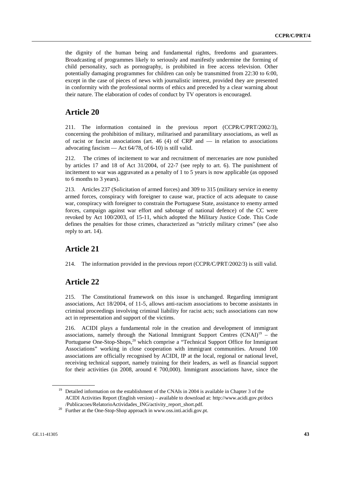the dignity of the human being and fundamental rights, freedoms and guarantees. Broadcasting of programmes likely to seriously and manifestly undermine the forming of child personality, such as pornography, is prohibited in free access television. Other potentially damaging programmes for children can only be transmitted from 22:30 to 6:00, except in the case of pieces of news with journalistic interest, provided they are presented in conformity with the professional norms of ethics and preceded by a clear warning about their nature. The elaboration of codes of conduct by TV operators is encouraged.

# **Article 20**

211. The information contained in the previous report (CCPR/C/PRT/2002/3), concerning the prohibition of military, militarised and paramilitary associations, as well as of racist or fascist associations (art.  $46$  (4) of CRP and — in relation to associations advocating fascism — Act 64/78, of 6-10) is still valid.

212. The crimes of incitement to war and recruitment of mercenaries are now punished by articles 17 and 18 of Act 31/2004, of 22-7 (see reply to art. 6). The punishment of incitement to war was aggravated as a penalty of 1 to 5 years is now applicable (as opposed to 6 months to 3 years).

213. Articles 237 (Solicitation of armed forces) and 309 to 315 (military service in enemy armed forces, conspiracy with foreigner to cause war, practice of acts adequate to cause war, conspiracy with foreigner to constrain the Portuguese State, assistance to enemy armed forces, campaign against war effort and sabotage of national defence) of the CC were revoked by Act 100/2003, of 15-11, which adopted the Military Justice Code. This Code defines the penalties for those crimes, characterized as "strictly military crimes" (see also reply to art. 14).

# **Article 21**

214. The information provided in the previous report (CCPR/C/PRT/2002/3) is still valid.

# **Article 22**

215. The Constitutional framework on this issue is unchanged. Regarding immigrant associations, Act 18/2004, of 11-5, allows anti-racism associations to become assistants in criminal proceedings involving criminal liability for racist acts; such associations can now act in representation and support of the victims.

216. ACIDI plays a fundamental role in the creation and development of immigrant associations, namely through the National Immigrant Support Centres  $(CNAI)^{19}$  – the Portuguese One-Stop-Shops,<sup>20</sup> which comprise a "Technical Support Office for Immigrant Associations" working in close cooperation with immigrant communities. Around 100 associations are officially recognised by ACIDI, IP at the local, regional or national level, receiving technical support, namely training for their leaders, as well as financial support for their activities (in 2008, around  $\epsilon$  700,000). Immigrant associations have, since the

<sup>&</sup>lt;sup>19</sup> Detailed information on the establishment of the CNAIs in 2004 is available in Chapter 3 of the ACIDI Activities Report (English version) – available to download at: http://www.acidi.gov.pt/docs /Publicacoes/RelatorioActividades\_ING/activity\_report\_short.pdf. 20 Further at the One-Stop-Shop approach in www.oss.inti.acidi.gov.pt.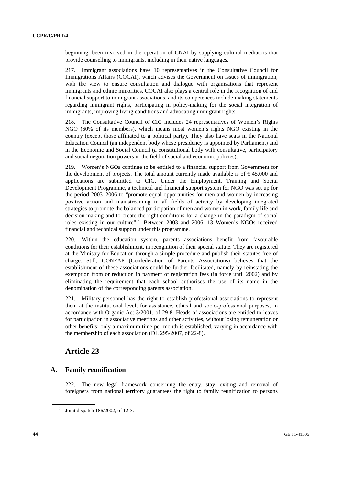beginning, been involved in the operation of CNAI by supplying cultural mediators that provide counselling to immigrants, including in their native languages.

217. Immigrant associations have 10 representatives in the Consultative Council for Immigrations Affairs (COCAI), which advises the Government on issues of immigration, with the view to ensure consultation and dialogue with organisations that represent immigrants and ethnic minorities. COCAI also plays a central role in the recognition of and financial support to immigrant associations, and its competences include making statements regarding immigrant rights, participating in policy-making for the social integration of immigrants, improving living conditions and advocating immigrant rights.

218. The Consultative Council of CIG includes 24 representatives of Women's Rights NGO (60% of its members), which means most women's rights NGO existing in the country (except those affiliated to a political party). They also have seats in the National Education Council (an independent body whose presidency is appointed by Parliament) and in the Economic and Social Council (a constitutional body with consultative, participatory and social negotiation powers in the field of social and economic policies).

219. Women's NGOs continue to be entitled to a financial support from Government for the development of projects. The total amount currently made available is of  $\epsilon$  45.000 and applications are submitted to CIG. Under the Employment, Training and Social Development Programme, a technical and financial support system for NGO was set up for the period 2003–2006 to "promote equal opportunities for men and women by increasing positive action and mainstreaming in all fields of activity by developing integrated strategies to promote the balanced participation of men and women in work, family life and decision-making and to create the right conditions for a change in the paradigm of social roles existing in our culture".<sup>21</sup> Between 2003 and 2006, 13 Women's NGOs received financial and technical support under this programme.

220. Within the education system, parents associations benefit from favourable conditions for their establishment, in recognition of their special statute. They are registered at the Ministry for Education through a simple procedure and publish their statutes free of charge. Still, CONFAP (Confederation of Parents Associations) believes that the establishment of these associations could be further facilitated, namely by reinstating the exemption from or reduction in payment of registration fees (in force until 2002) and by eliminating the requirement that each school authorises the use of its name in the denomination of the corresponding parents association.

221. Military personnel has the right to establish professional associations to represent them at the institutional level, for assistance, ethical and socio-professional purposes, in accordance with Organic Act 3/2001, of 29-8. Heads of associations are entitled to leaves for participation in associative meetings and other activities, without losing remuneration or other benefits; only a maximum time per month is established, varying in accordance with the membership of each association (DL 295/2007, of 22-8).

# **Article 23**

# **A. Family reunification**

222. The new legal framework concerning the entry, stay, exiting and removal of foreigners from national territory guarantees the right to family reunification to persons

<sup>&</sup>lt;sup>21</sup> Joint dispatch 186/2002, of 12-3.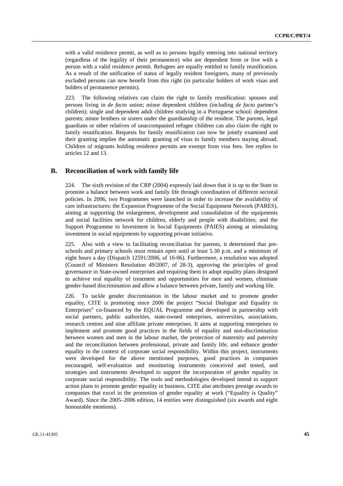with a valid residence permit, as well as to persons legally entering into national territory (regardless of the legality of their permanence) who are dependent from or live with a person with a valid residence permit. Refugees are equally entitled to family reunification. As a result of the unification of status of legally resident foreigners, many of previously excluded persons can now benefit from this right (in particular holders of work visas and holders of permanence permits).

223. The following relatives can claim the right to family reunification: spouses and persons living in *de facto* union; minor dependent children (including *de facto* partner's children); single and dependent adult children studying in a Portuguese school; dependent parents; minor brothers or sisters under the guardianship of the resident. The parents, legal guardians or other relatives of unaccompanied refugee children can also claim the right to family reunification. Requests for family reunification can now be jointly examined and their granting implies the automatic granting of visas to family members staying abroad. Children of migrants holding residence permits are exempt from visa fees. See replies to articles 12 and 13.

# **B. Reconciliation of work with family life**

224. The sixth revision of the CRP (2004) expressly laid down that it is up to the State to promote a balance between work and family life through coordination of different sectoral policies. In 2006, two Programmes were launched in order to increase the availability of care infrastructures: the Expansion Programme of the Social Equipment Network (PARES), aiming at supporting the enlargement, development and consolidation of the equipments and social facilities network for children, elderly and people with disabilities; and the Support Programme to Investment in Social Equipments (PAIES) aiming at stimulating investment in social equipments by supporting private initiative.

225. Also with a view to facilitating reconciliation for parents, it determined that preschools and primary schools must remain open until at least 5.30 p.m. and a minimum of eight hours a day (Dispatch 12591/2006, of 16-06). Furthermore, a resolution was adopted (Council of Ministers Resolution 49/2007, of 28-3), approving the principles of good governance in State-owned enterprises and requiring them to adopt equality plans designed to achieve real equality of treatment and opportunities for men and women, eliminate gender-based discrimination and allow a balance between private, family and working life.

226. To tackle gender discrimination in the labour market and to promote gender equality, CITE is promoting since 2006 the project "Social Dialogue and Equality in Enterprises" co-financed by the EQUAL Programme and developed in partnership with social partners, public authorities, state-owned enterprises, universities, associations, research centres and nine affiliate private enterprises. It aims at supporting enterprises to implement and promote good practices in the fields of equality and non-discrimination between women and men in the labour market, the protection of maternity and paternity and the reconciliation between professional, private and family life, and enhance gender equality in the context of corporate social responsibility. Within this project, instruments were developed for the above mentioned purposes, good practices in companies encouraged, self-evaluation and monitoring instruments conceived and tested, and strategies and instruments developed to support the incorporation of gender equality in corporate social responsibility. The tools and methodologies developed intend to support action plans to promote gender equality in business. CITE also attributes prestige awards to companies that excel in the promotion of gender equality at work ("Equality is Quality" Award). Since the 2005–2006 edition, 14 entities were distinguished (six awards and eight honourable mentions).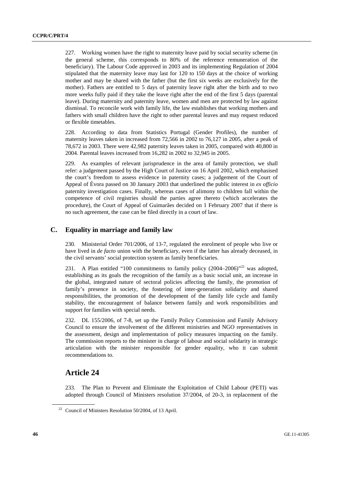227. Working women have the right to maternity leave paid by social security scheme (in the general scheme, this corresponds to 80% of the reference remuneration of the beneficiary). The Labour Code approved in 2003 and its implementing Regulation of 2004 stipulated that the maternity leave may last for 120 to 150 days at the choice of working mother and may be shared with the father (but the first six weeks are exclusively for the mother). Fathers are entitled to 5 days of paternity leave right after the birth and to two more weeks fully paid if they take the leave right after the end of the first 5 days (parental leave). During maternity and paternity leave, women and men are protected by law against dismissal. To reconcile work with family life, the law establishes that working mothers and fathers with small children have the right to other parental leaves and may request reduced or flexible timetables.

228. According to data from Statistics Portugal (Gender Profiles), the number of maternity leaves taken in increased from 72,566 in 2002 to 76,127 in 2005, after a peak of 78,672 in 2003. There were 42,982 paternity leaves taken in 2005, compared with 40,800 in 2004. Parental leaves increased from 16,282 in 2002 to 32,945 in 2005.

229. As examples of relevant jurisprudence in the area of family protection, we shall refer: a judgement passed by the High Court of Justice on 16 April 2002, which emphasised the court's freedom to assess evidence in paternity cases; a judgement of the Court of Appeal of Évora passed on 30 January 2003 that underlined the public interest in *ex officio* paternity investigation cases. Finally, whereas cases of alimony to children fall within the competence of civil registries should the parties agree thereto (which accelerates the procedure), the Court of Appeal of Guimarães decided on 1 February 2007 that if there is no such agreement, the case can be filed directly in a court of law.

# **C. Equality in marriage and family law**

230. Ministerial Order 701/2006, of 13-7, regulated the enrolment of people who live or have lived in *de facto* union with the beneficiary, even if the latter has already deceased, in the civil servants' social protection system as family beneficiaries.

231. A Plan entitled "100 commitments to family policy (2004–2006)"<sup>22</sup> was adopted, establishing as its goals the recognition of the family as a basic social unit, an increase in the global, integrated nature of sectoral policies affecting the family, the promotion of family's presence in society, the fostering of inter-generation solidarity and shared responsibilities, the promotion of the development of the family life cycle and family stability, the encouragement of balance between family and work responsibilities and support for families with special needs.

232. DL 155/2006, of 7-8, set up the Family Policy Commission and Family Advisory Council to ensure the involvement of the different ministries and NGO representatives in the assessment, design and implementation of policy measures impacting on the family. The commission reports to the minister in charge of labour and social solidarity in strategic articulation with the minister responsible for gender equality, who it can submit recommendations to.

# **Article 24**

233. The Plan to Prevent and Eliminate the Exploitation of Child Labour (PETI) was adopted through Council of Ministers resolution 37/2004, of 20-3, in replacement of the

<sup>&</sup>lt;sup>22</sup> Council of Ministers Resolution 50/2004, of 13 April.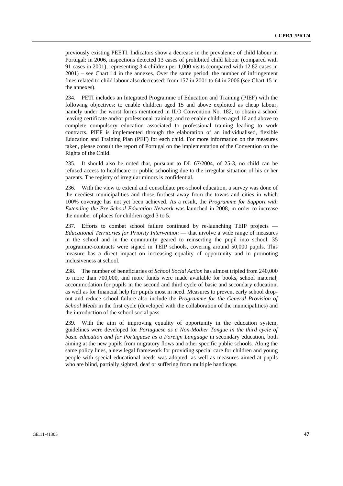previously existing PEETI. Indicators show a decrease in the prevalence of child labour in Portugal: in 2006, inspections detected 13 cases of prohibited child labour (compared with 91 cases in 2001), representing 3.4 children per 1,000 visits (compared with 12.82 cases in 2001) – see Chart 14 in the annexes. Over the same period, the number of infringement fines related to child labour also decreased: from 157 in 2001 to 64 in 2006 (see Chart 15 in the annexes).

234. PETI includes an Integrated Programme of Education and Training (PIEF) with the following objectives: to enable children aged 15 and above exploited as cheap labour, namely under the worst forms mentioned in ILO Convention No. 182, to obtain a school leaving certificate and/or professional training; and to enable children aged 16 and above to complete compulsory education associated to professional training leading to work contracts. PIEF is implemented through the elaboration of an individualised, flexible Education and Training Plan (PEF) for each child. For more information on the measures taken, please consult the report of Portugal on the implementation of the Convention on the Rights of the Child.

235. It should also be noted that, pursuant to DL 67/2004, of 25-3, no child can be refused access to healthcare or public schooling due to the irregular situation of his or her parents. The registry of irregular minors is confidential.

236. With the view to extend and consolidate pre-school education, a survey was done of the neediest municipalities and those furthest away from the towns and cities in which 100% coverage has not yet been achieved. As a result, the *Programme for Support with Extending the Pre-School Education Network* was launched in 2008, in order to increase the number of places for children aged 3 to 5.

237. Efforts to combat school failure continued by re-launching TEIP projects — *Educational Territories for Priority Intervention* — that involve a wide range of measures in the school and in the community geared to reinserting the pupil into school. 35 programme-contracts were signed in TEIP schools, covering around 50,000 pupils. This measure has a direct impact on increasing equality of opportunity and in promoting inclusiveness at school.

238. The number of beneficiaries of *School Social Action* has almost tripled from 240,000 to more than 700,000, and more funds were made available for books, school material, accommodation for pupils in the second and third cycle of basic and secondary education, as well as for financial help for pupils most in need. Measures to prevent early school dropout and reduce school failure also include the *Programme for the General Provision of School Meals* in the first cycle (developed with the collaboration of the municipalities) and the introduction of the school social pass.

239. With the aim of improving equality of opportunity in the education system, guidelines were developed for *Portuguese as a Non-Mother Tongue in the third cycle of basic education and for Portuguese as a Foreign Language* in secondary education, both aiming at the new pupils from migratory flows and other specific public schools. Along the same policy lines, a new legal framework for providing special care for children and young people with special educational needs was adopted, as well as measures aimed at pupils who are blind, partially sighted, deaf or suffering from multiple handicaps.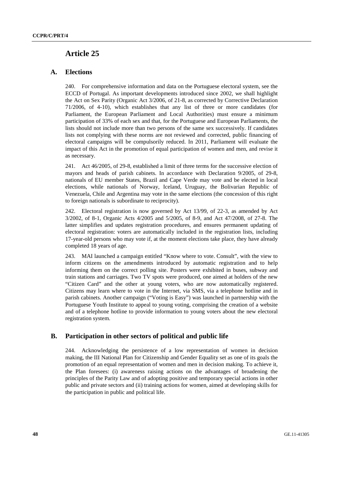# **Article 25**

# **A. Elections**

240. For comprehensive information and data on the Portuguese electoral system, see the ECCD of Portugal. As important developments introduced since 2002, we shall highlight the Act on Sex Parity (Organic Act 3/2006, of 21-8, as corrected by Corrective Declaration 71/2006, of 4-10), which establishes that any list of three or more candidates (for Parliament, the European Parliament and Local Authorities) must ensure a minimum participation of 33% of each sex and that, for the Portuguese and European Parliaments, the lists should not include more than two persons of the same sex successively. If candidates lists not complying with these norms are not reviewed and corrected, public financing of electoral campaigns will be compulsorily reduced. In 2011, Parliament will evaluate the impact of this Act in the promotion of equal participation of women and men, and revise it as necessary.

241. Act 46/2005, of 29-8, established a limit of three terms for the successive election of mayors and heads of parish cabinets. In accordance with Declaration 9/2005, of 29-8, nationals of EU member States, Brazil and Cape Verde may vote and be elected in local elections, while nationals of Norway, Iceland, Uruguay, the Bolivarian Republic of Venezuela, Chile and Argentina may vote in the same elections (the concession of this right to foreign nationals is subordinate to reciprocity).

242. Electoral registration is now governed by Act 13/99, of 22-3, as amended by Act 3/2002, of 8-1, Organic Acts 4/2005 and 5/2005, of 8-9, and Act 47/2008, of 27-8. The latter simplifies and updates registration procedures, and ensures permanent updating of electoral registration: voters are automatically included in the registration lists, including 17-year-old persons who may vote if, at the moment elections take place, they have already completed 18 years of age.

243. MAI launched a campaign entitled "Know where to vote. Consult", with the view to inform citizens on the amendments introduced by automatic registration and to help informing them on the correct polling site. Posters were exhibited in buses, subway and train stations and carriages. Two TV spots were produced, one aimed at holders of the new "Citizen Card" and the other at young voters, who are now automatically registered. Citizens may learn where to vote in the Internet, via SMS, via a telephone hotline and in parish cabinets. Another campaign ("Voting is Easy") was launched in partnership with the Portuguese Youth Institute to appeal to young voting, comprising the creation of a website and of a telephone hotline to provide information to young voters about the new electoral registration system.

# **B. Participation in other sectors of political and public life**

244. Acknowledging the persistence of a low representation of women in decision making, the III National Plan for Citizenship and Gender Equality set as one of its goals the promotion of an equal representation of women and men in decision making. To achieve it, the Plan foresees: (i) awareness raising actions on the advantages of broadening the principles of the Parity Law and of adopting positive and temporary special actions in other public and private sectors and (ii) training actions for women, aimed at developing skills for the participation in public and political life.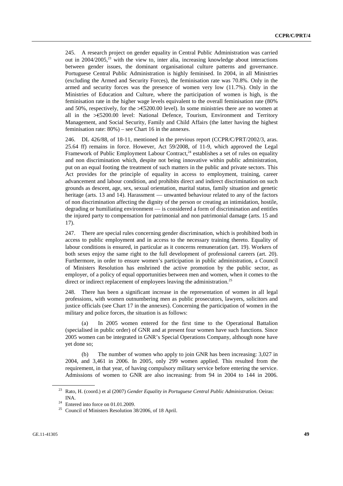245. A research project on gender equality in Central Public Administration was carried out in  $2004/2005$ ,<sup>23</sup> with the view to, inter alia, increasing knowledge about interactions between gender issues, the dominant organisational culture patterns and governance. Portuguese Central Public Administration is highly feminised. In 2004, in all Ministries (excluding the Armed and Security Forces), the feminisation rate was 70.8%. Only in the armed and security forces was the presence of women very low (11.7%). Only in the Ministries of Education and Culture, where the participation of women is high, is the feminisation rate in the higher wage levels equivalent to the overall feminisation rate (80% and 50%, respectively, for the  $>\epsilon$  5200.00 level). In some ministries there are no women at all in the >€5200.00 level: National Defence, Tourism, Environment and Territory Management, and Social Security, Family and Child Affairs (the latter having the highest feminisation rate: 80%) – see Chart 16 in the annexes.

246. DL 426/88, of 18-11, mentioned in the previous report (CCPR/C/PRT/2002/3, aras. 25.64 ff) remains in force. However, Act 59/2008, of 11-9, which approved the Legal Framework of Public Employment Labour Contract, $24$  establishes a set of rules on equality and non discrimination which, despite not being innovative within public administration, put on an equal footing the treatment of such matters in the public and private sectors. This Act provides for the principle of equality in access to employment, training, career advancement and labour condition, and prohibits direct and indirect discrimination on such grounds as descent, age, sex, sexual orientation, marital status, family situation and genetic heritage (arts. 13 and 14). Harassment — unwanted behaviour related to any of the factors of non discrimination affecting the dignity of the person or creating an intimidation, hostile, degrading or humiliating environment — is considered a form of discrimination and entitles the injured party to compensation for patrimonial and non patrimonial damage (arts. 15 and 17).

247. There are special rules concerning gender discrimination, which is prohibited both in access to public employment and in access to the necessary training thereto. Equality of labour conditions is ensured, in particular as it concerns remuneration (art. 19). Workers of both sexes enjoy the same right to the full development of professional careers (art. 20). Furthermore, in order to ensure women's participation in public administration, a Council of Ministers Resolution has enshrined the active promotion by the public sector, as employer, of a policy of equal opportunities between men and women, when it comes to the direct or indirect replacement of employees leaving the administration.<sup>25</sup>

248. There has been a significant increase in the representation of women in all legal professions, with women outnumbering men as public prosecutors, lawyers, solicitors and justice officials (see Chart 17 in the annexes). Concerning the participation of women in the military and police forces, the situation is as follows:

 (a) In 2005 women entered for the first time to the Operational Battalion (specialised in public order) of GNR and at present four women have such functions. Since 2005 women can be integrated in GNR's Special Operations Company, although none have yet done so;

 (b) The number of women who apply to join GNR has been increasing: 3,027 in 2004, and 3,461 in 2006. In 2005, only 299 women applied. This resulted from the requirement, in that year, of having compulsory military service before entering the service. Admissions of women to GNR are also increasing: from 94 in 2004 to 144 in 2006.

<sup>23</sup> Rato, H. (coord.) et al (2007) *Gender Equality in Portuguese Central Public Administration*. Oeiras: INA. 24 Entered into force on 01.01.2009.

<sup>25</sup> Council of Ministers Resolution 38/2006, of 18 April.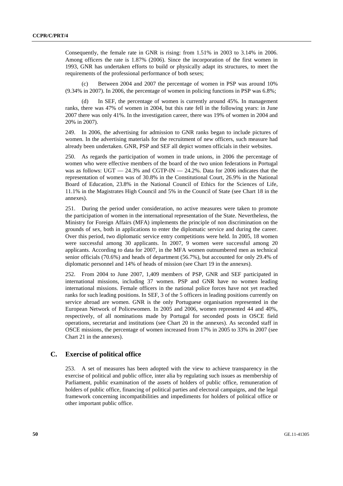Consequently, the female rate in GNR is rising: from 1.51% in 2003 to 3.14% in 2006. Among officers the rate is 1.87% (2006). Since the incorporation of the first women in 1993, GNR has undertaken efforts to build or physically adapt its structures, to meet the requirements of the professional performance of both sexes;

 (c) Between 2004 and 2007 the percentage of women in PSP was around 10% (9.34% in 2007). In 2006, the percentage of women in policing functions in PSP was 6.8%;

 (d) In SEF, the percentage of women is currently around 45%. In management ranks, there was 47% of women in 2004, but this rate fell in the following years: in June 2007 there was only 41%. In the investigation career, there was 19% of women in 2004 and 20% in 2007).

249. In 2006, the advertising for admission to GNR ranks began to include pictures of women. In the advertising materials for the recruitment of new officers, such measure had already been undertaken. GNR, PSP and SEF all depict women officials in their websites.

250. As regards the participation of women in trade unions, in 2006 the percentage of women who were effective members of the board of the two union federations in Portugal was as follows: UGT  $-$  24.3% and CGTP-IN  $-$  24.2%. Data for 2006 indicates that the representation of women was of 30.8% in the Constitutional Court, 26.9% in the National Board of Education, 23.8% in the National Council of Ethics for the Sciences of Life, 11.1% in the Magistrates High Council and 5% in the Council of State (see Chart 18 in the annexes).

251. During the period under consideration, no active measures were taken to promote the participation of women in the international representation of the State. Nevertheless, the Ministry for Foreign Affairs (MFA) implements the principle of non discrimination on the grounds of sex, both in applications to enter the diplomatic service and during the career. Over this period, two diplomatic service entry competitions were held. In 2005, 18 women were successful among 30 applicants. In 2007, 9 women were successful among 20 applicants. According to data for 2007, in the MFA women outnumbered men as technical senior officials (70.6%) and heads of department (56.7%), but accounted for only 29.4% of diplomatic personnel and 14% of heads of mission (see Chart 19 in the annexes).

252. From 2004 to June 2007, 1,409 members of PSP, GNR and SEF participated in international missions, including 37 women. PSP and GNR have no women leading international missions. Female officers in the national police forces have not yet reached ranks for such leading positions. In SEF, 3 of the 5 officers in leading positions currently on service abroad are women. GNR is the only Portuguese organisation represented in the European Network of Policewomen. In 2005 and 2006, women represented 44 and 40%, respectively, of all nominations made by Portugal for seconded posts in OSCE field operations, secretariat and institutions (see Chart 20 in the annexes). As seconded staff in OSCE missions, the percentage of women increased from 17% in 2005 to 33% in 2007 (see Chart 21 in the annexes).

# **C. Exercise of political office**

253. A set of measures has been adopted with the view to achieve transparency in the exercise of political and public office, inter alia by regulating such issues as membership of Parliament, public examination of the assets of holders of public office, remuneration of holders of public office, financing of political parties and electoral campaigns, and the legal framework concerning incompatibilities and impediments for holders of political office or other important public office.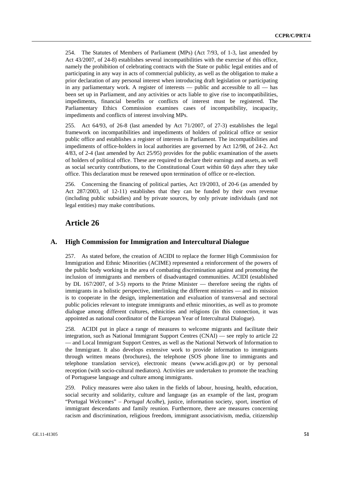254. The Statutes of Members of Parliament (MPs) (Act 7/93, of 1-3, last amended by Act 43/2007, of 24-8) establishes several incompatibilities with the exercise of this office, namely the prohibition of celebrating contracts with the State or public legal entities and of participating in any way in acts of commercial publicity, as well as the obligation to make a prior declaration of any personal interest when introducing draft legislation or participating in any parliamentary work. A register of interests — public and accessible to all — has been set up in Parliament, and any activities or acts liable to give rise to incompatibilities, impediments, financial benefits or conflicts of interest must be registered. The Parliamentary Ethics Commission examines cases of incompatibility, incapacity, impediments and conflicts of interest involving MPs.

255. Act 64/93, of 26-8 (last amended by Act 71/2007, of 27-3) establishes the legal framework on incompatibilities and impediments of holders of political office or senior public office and establishes a register of interests in Parliament. The incompatibilities and impediments of office-holders in local authorities are governed by Act 12/98, of 24-2. Act 4/83, of 2-4 (last amended by Act 25/95) provides for the public examination of the assets of holders of political office. These are required to declare their earnings and assets, as well as social security contributions, to the Constitutional Court within 60 days after they take office. This declaration must be renewed upon termination of office or re-election.

256. Concerning the financing of political parties, Act 19/2003, of 20-6 (as amended by Act 287/2003, of 12-11) establishes that they can be funded by their own revenue (including public subsidies) and by private sources, by only private individuals (and not legal entities) may make contributions.

# **Article 26**

#### **A. High Commission for Immigration and Intercultural Dialogue**

257. As stated before, the creation of ACIDI to replace the former High Commission for Immigration and Ethnic Minorities (ACIME) represented a reinforcement of the powers of the public body working in the area of combating discrimination against and promoting the inclusion of immigrants and members of disadvantaged communities. ACIDI (established by DL 167/2007, of 3-5) reports to the Prime Minister — therefore seeing the rights of immigrants in a holistic perspective, interlinking the different ministries — and its mission is to cooperate in the design, implementation and evaluation of transversal and sectoral public policies relevant to integrate immigrants and ethnic minorities, as well as to promote dialogue among different cultures, ethnicities and religions (in this connection, it was appointed as national coordinator of the European Year of Intercultural Dialogue).

258. ACIDI put in place a range of measures to welcome migrants and facilitate their integration, such as National Immigrant Support Centres (CNAI) — see reply to article 22 — and Local Immigrant Support Centres, as well as the National Network of Information to the Immigrant. It also develops extensive work to provide information to immigrants through written means (brochures), the telephone (SOS phone line to immigrants and telephone translation service), electronic means (www.acidi.gov.pt) or by personal reception (with socio-cultural mediators). Activities are undertaken to promote the teaching of Portuguese language and culture among immigrants.

259. Policy measures were also taken in the fields of labour, housing, health, education, social security and solidarity, culture and language (as an example of the last, program "Portugal Welcomes" – *Portugal Acolhe*), justice, information society, sport, insertion of immigrant descendants and family reunion. Furthermore, there are measures concerning racism and discrimination, religious freedom, immigrant associativism, media, citizenship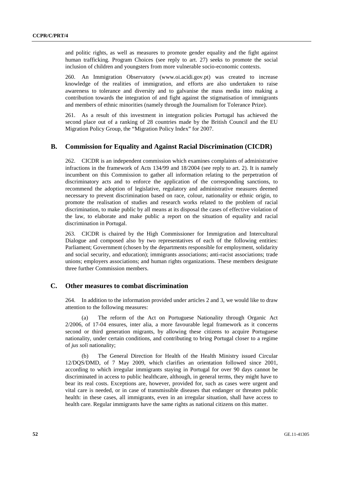and politic rights, as well as measures to promote gender equality and the fight against human trafficking. Program Choices (see reply to art. 27) seeks to promote the social inclusion of children and youngsters from more vulnerable socio-economic contexts.

260. An Immigration Observatory (www.oi.acidi.gov.pt) was created to increase knowledge of the realities of immigration, and efforts are also undertaken to raise awareness to tolerance and diversity and to galvanise the mass media into making a contribution towards the integration of and fight against the stigmatisation of immigrants and members of ethnic minorities (namely through the Journalism for Tolerance Prize).

261. As a result of this investment in integration policies Portugal has achieved the second place out of a ranking of 28 countries made by the British Council and the EU Migration Policy Group, the "Migration Policy Index" for 2007.

#### **B. Commission for Equality and Against Racial Discrimination (CICDR)**

262. CICDR is an independent commission which examines complaints of administrative infractions in the framework of Acts 134/99 and 18/2004 (see reply to art. 2). It is namely incumbent on this Commission to gather all information relating to the perpetration of discriminatory acts and to enforce the application of the corresponding sanctions, to recommend the adoption of legislative, regulatory and administrative measures deemed necessary to prevent discrimination based on race, colour, nationality or ethnic origin, to promote the realisation of studies and research works related to the problem of racial discrimination, to make public by all means at its disposal the cases of effective violation of the law, to elaborate and make public a report on the situation of equality and racial discrimination in Portugal.

263. CICDR is chaired by the High Commissioner for Immigration and Intercultural Dialogue and composed also by two representatives of each of the following entities: Parliament; Government (chosen by the departments responsible for employment, solidarity and social security, and education); immigrants associations; anti-racist associations; trade unions; employers associations; and human rights organizations. These members designate three further Commission members.

### **C. Other measures to combat discrimination**

264. In addition to the information provided under articles 2 and 3, we would like to draw attention to the following measures:

 (a) The reform of the Act on Portuguese Nationality through Organic Act 2/2006, of 17-04 ensures, inter alia, a more favourable legal framework as it concerns second or third generation migrants, by allowing these citizens to acquire Portuguese nationality, under certain conditions, and contributing to bring Portugal closer to a regime of *jus soli* nationality;

 (b) The General Direction for Health of the Health Ministry issued Circular 12/DQS/DMD, of 7 May 2009, which clarifies an orientation followed since 2001, according to which irregular immigrants staying in Portugal for over 90 days cannot be discriminated in access to public healthcare, although, in general terms, they might have to bear its real costs. Exceptions are, however, provided for, such as cases were urgent and vital care is needed, or in case of transmissible diseases that endanger or threaten public health: in these cases, all immigrants, even in an irregular situation, shall have access to health care. Regular immigrants have the same rights as national citizens on this matter.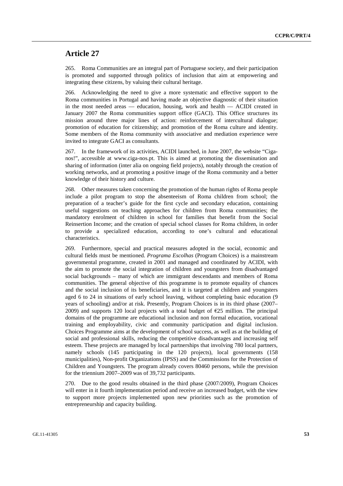# **Article 27**

265. Roma Communities are an integral part of Portuguese society, and their participation is promoted and supported through politics of inclusion that aim at empowering and integrating these citizens, by valuing their cultural heritage.

266. Acknowledging the need to give a more systematic and effective support to the Roma communities in Portugal and having made an objective diagnostic of their situation in the most needed areas — education, housing, work and health — ACIDI created in January 2007 the Roma communities support office (GACI). This Office structures its mission around three major lines of action: reinforcement of intercultural dialogue; promotion of education for citizenship; and promotion of the Roma culture and identity. Some members of the Roma community with associative and mediation experience were invited to integrate GACI as consultants.

267. In the framework of its activities, ACIDI launched, in June 2007, the website "Ciganos!", accessible at www.ciga-nos.pt. This is aimed at promoting the dissemination and sharing of information (inter alia on ongoing field projects), notably through the creation of working networks, and at promoting a positive image of the Roma community and a better knowledge of their history and culture.

268. Other measures taken concerning the promotion of the human rights of Roma people include a pilot program to stop the absenteeism of Roma children from school; the preparation of a teacher's guide for the first cycle and secondary education, containing useful suggestions on teaching approaches for children from Roma communities; the mandatory enrolment of children in school for families that benefit from the Social Reinsertion Income; and the creation of special school classes for Roma children, in order to provide a specialized education, according to one's cultural and educational characteristics.

269. Furthermore, special and practical measures adopted in the social, economic and cultural fields must be mentioned. *Programa Escolhas* (Program Choices) is a mainstream governmental programme, created in 2001 and managed and coordinated by ACIDI, with the aim to promote the social integration of children and youngsters from disadvantaged social backgrounds – many of which are immigrant descendants and members of Roma communities. The general objective of this programme is to promote equality of chances and the social inclusion of its beneficiaries, and it is targeted at children and youngsters aged 6 to 24 in situations of early school leaving, without completing basic education (9 years of schooling) and/or at risk. Presently, Program Choices is in its third phase (2007– 2009) and supports 120 local projects with a total budget of  $E25$  million. The principal domains of the programme are educational inclusion and non formal education, vocational training and employability, civic and community participation and digital inclusion. Choices Programme aims at the development of school success, as well as at the building of social and professional skills, reducing the competitive disadvantages and increasing self esteem. These projects are managed by local partnerships that involving 780 local partners, namely schools (145 participating in the 120 projects), local governments (158 municipalities), Non-profit Organizations (IPSS) and the Commissions for the Protection of Children and Youngsters. The program already covers 80460 persons, while the prevision for the triennium 2007–2009 was of 39,732 participants.

270. Due to the good results obtained in the third phase (2007/2009), Program Choices will enter in it fourth implementation period and receive an increased budget, with the view to support more projects implemented upon new priorities such as the promotion of entrepreneurship and capacity building.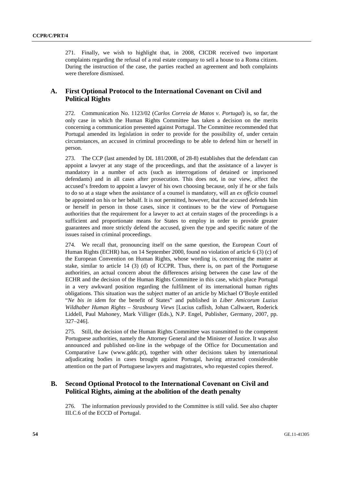271. Finally, we wish to highlight that, in 2008, CICDR received two important complaints regarding the refusal of a real estate company to sell a house to a Roma citizen. During the instruction of the case, the parties reached an agreement and both complaints were therefore dismissed.

# **A. First Optional Protocol to the International Covenant on Civil and Political Rights**

272. Communication No. 1123/02 (*Carlos Correia de Matos v. Portugal*) is, so far, the only case in which the Human Rights Committee has taken a decision on the merits concerning a communication presented against Portugal. The Committee recommended that Portugal amended its legislation in order to provide for the possibility of, under certain circumstances, an accused in criminal proceedings to be able to defend him or herself in person.

273. The CCP (last amended by DL 181/2008, of 28-8) establishes that the defendant can appoint a lawyer at any stage of the proceedings, and that the assistance of a lawyer is mandatory in a number of acts (such as interrogations of detained or imprisoned defendants) and in all cases after prosecution. This does not, in our view, affect the accused's freedom to appoint a lawyer of his own choosing because, only if he or she fails to do so at a stage when the assistance of a counsel is mandatory, will an *ex officio* counsel be appointed on his or her behalf. It is not permitted, however, that the accused defends him or herself in person in those cases, since it continues to be the view of Portuguese authorities that the requirement for a lawyer to act at certain stages of the proceedings is a sufficient and proportionate means for States to employ in order to provide greater guarantees and more strictly defend the accused, given the type and specific nature of the issues raised in criminal proceedings.

274. We recall that, pronouncing itself on the same question, the European Court of Human Rights (ECHR) has, on 14 September 2000, found no violation of article 6 (3) (c) of the European Convention on Human Rights, whose wording is, concerning the matter at stake, similar to article 14 (3) (d) of ICCPR. Thus, there is, on part of the Portuguese authorities, an actual concern about the differences arising between the case law of the ECHR and the decision of the Human Rights Committee in this case, which place Portugal in a very awkward position regarding the fulfilment of its international human rights obligations. This situation was the subject matter of an article by Michael O'Boyle entitled "*Ne bis in idem* for the benefit of States" and published in *Liber Amicorum Luzius Wildhaber Human Rights – Strasbourg Views* [Lucius caflish, Johan Callwaert, Roderick Liddell, Paul Mahoney, Mark Villiger (Eds.), N.P. Engel, Publisher, Germany, 2007, pp. 327–246].

275. Still, the decision of the Human Rights Committee was transmitted to the competent Portuguese authorities, namely the Attorney General and the Minister of Justice. It was also announced and published on-line in the webpage of the Office for Documentation and Comparative Law (www.gddc.pt), together with other decisions taken by international adjudicating bodies in cases brought against Portugal, having attracted considerable attention on the part of Portuguese lawyers and magistrates, who requested copies thereof.

# **B. Second Optional Protocol to the International Covenant on Civil and Political Rights, aiming at the abolition of the death penalty**

276. The information previously provided to the Committee is still valid. See also chapter III.C.6 of the ECCD of Portugal.